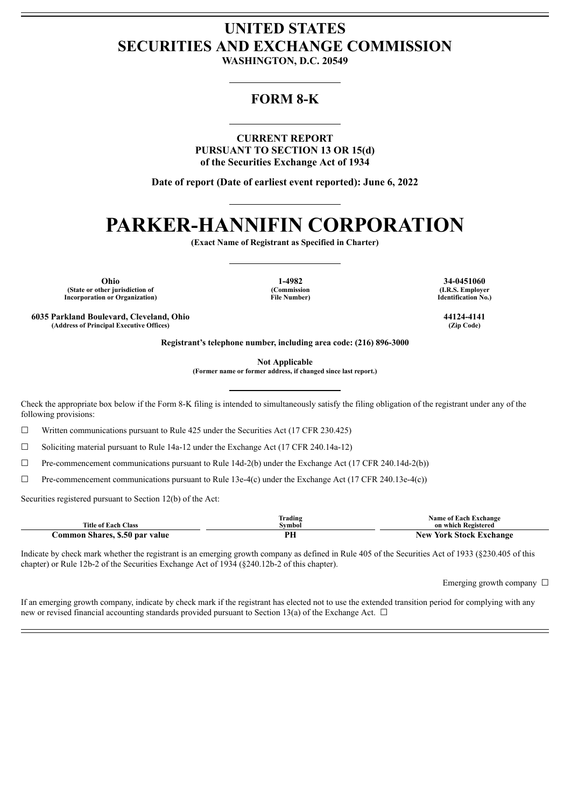# **UNITED STATES SECURITIES AND EXCHANGE COMMISSION**

**WASHINGTON, D.C. 20549**

# **FORM 8-K**

**CURRENT REPORT PURSUANT TO SECTION 13 OR 15(d) of the Securities Exchange Act of 1934**

**Date of report (Date of earliest event reported): June 6, 2022**

# **PARKER-HANNIFIN CORPORATION**

**(Exact Name of Registrant as Specified in Charter)**

**Ohio 1-4982 34-0451060 (State or other jurisdiction of Incorporation or Organization)**

**(Commission File Number)**

**(I.R.S. Employer Identification No.)**

**6035 Parkland Boulevard, Cleveland, Ohio 44124-4141 (Address of Principal Executive Offices) (Zip Code)**

**Registrant's telephone number, including area code: (216) 896-3000**

**Not Applicable**

**(Former name or former address, if changed since last report.)**

Check the appropriate box below if the Form 8-K filing is intended to simultaneously satisfy the filing obligation of the registrant under any of the following provisions:

 $\Box$  Written communications pursuant to Rule 425 under the Securities Act (17 CFR 230.425)

☐ Soliciting material pursuant to Rule 14a-12 under the Exchange Act (17 CFR 240.14a-12)

☐ Pre-commencement communications pursuant to Rule 14d-2(b) under the Exchange Act (17 CFR 240.14d-2(b))

 $\Box$  Pre-commencement communications pursuant to Rule 13e-4(c) under the Exchange Act (17 CFR 240.13e-4(c))

Securities registered pursuant to Section 12(b) of the Act:

| <b>Title of Each Class</b>     | Trading<br>Symbol | <b>Name of Each Exchange</b><br>on which Registered |  |
|--------------------------------|-------------------|-----------------------------------------------------|--|
| Common Shares, \$.50 par value | DГ<br>rп          | <b>New York Stock Exchange</b>                      |  |

Indicate by check mark whether the registrant is an emerging growth company as defined in Rule 405 of the Securities Act of 1933 (§230.405 of this chapter) or Rule 12b-2 of the Securities Exchange Act of 1934 (§240.12b-2 of this chapter).

Emerging growth company  $\Box$ 

If an emerging growth company, indicate by check mark if the registrant has elected not to use the extended transition period for complying with any new or revised financial accounting standards provided pursuant to Section 13(a) of the Exchange Act.  $\Box$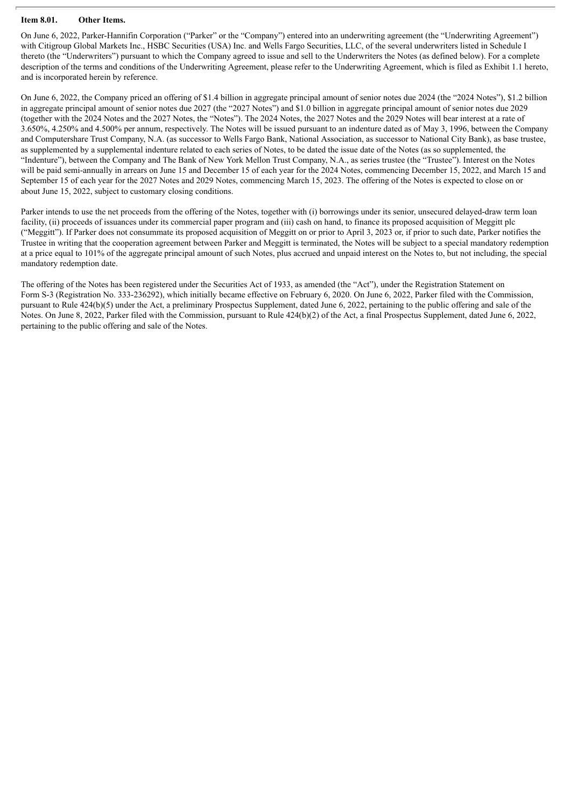#### **Item 8.01. Other Items.**

On June 6, 2022, Parker-Hannifin Corporation ("Parker" or the "Company") entered into an underwriting agreement (the "Underwriting Agreement") with Citigroup Global Markets Inc., HSBC Securities (USA) Inc. and Wells Fargo Securities, LLC, of the several underwriters listed in Schedule I thereto (the "Underwriters") pursuant to which the Company agreed to issue and sell to the Underwriters the Notes (as defined below). For a complete description of the terms and conditions of the Underwriting Agreement, please refer to the Underwriting Agreement, which is filed as Exhibit 1.1 hereto, and is incorporated herein by reference.

On June 6, 2022, the Company priced an offering of \$1.4 billion in aggregate principal amount of senior notes due 2024 (the "2024 Notes"), \$1.2 billion in aggregate principal amount of senior notes due 2027 (the "2027 Notes") and \$1.0 billion in aggregate principal amount of senior notes due 2029 (together with the 2024 Notes and the 2027 Notes, the "Notes"). The 2024 Notes, the 2027 Notes and the 2029 Notes will bear interest at a rate of 3.650%, 4.250% and 4.500% per annum, respectively. The Notes will be issued pursuant to an indenture dated as of May 3, 1996, between the Company and Computershare Trust Company, N.A. (as successor to Wells Fargo Bank, National Association, as successor to National City Bank), as base trustee, as supplemented by a supplemental indenture related to each series of Notes, to be dated the issue date of the Notes (as so supplemented, the "Indenture"), between the Company and The Bank of New York Mellon Trust Company, N.A., as series trustee (the "Trustee"). Interest on the Notes will be paid semi-annually in arrears on June 15 and December 15 of each year for the 2024 Notes, commencing December 15, 2022, and March 15 and September 15 of each year for the 2027 Notes and 2029 Notes, commencing March 15, 2023. The offering of the Notes is expected to close on or about June 15, 2022, subject to customary closing conditions.

Parker intends to use the net proceeds from the offering of the Notes, together with (i) borrowings under its senior, unsecured delayed-draw term loan facility, (ii) proceeds of issuances under its commercial paper program and (iii) cash on hand, to finance its proposed acquisition of Meggitt plc ("Meggitt"). If Parker does not consummate its proposed acquisition of Meggitt on or prior to April 3, 2023 or, if prior to such date, Parker notifies the Trustee in writing that the cooperation agreement between Parker and Meggitt is terminated, the Notes will be subject to a special mandatory redemption at a price equal to 101% of the aggregate principal amount of such Notes, plus accrued and unpaid interest on the Notes to, but not including, the special mandatory redemption date.

The offering of the Notes has been registered under the Securities Act of 1933, as amended (the "Act"), under the Registration Statement on Form S-3 (Registration No. 333-236292), which initially became effective on February 6, 2020. On June 6, 2022, Parker filed with the Commission, pursuant to Rule 424(b)(5) under the Act, a preliminary Prospectus Supplement, dated June 6, 2022, pertaining to the public offering and sale of the Notes. On June 8, 2022, Parker filed with the Commission, pursuant to Rule 424(b)(2) of the Act, a final Prospectus Supplement, dated June 6, 2022, pertaining to the public offering and sale of the Notes.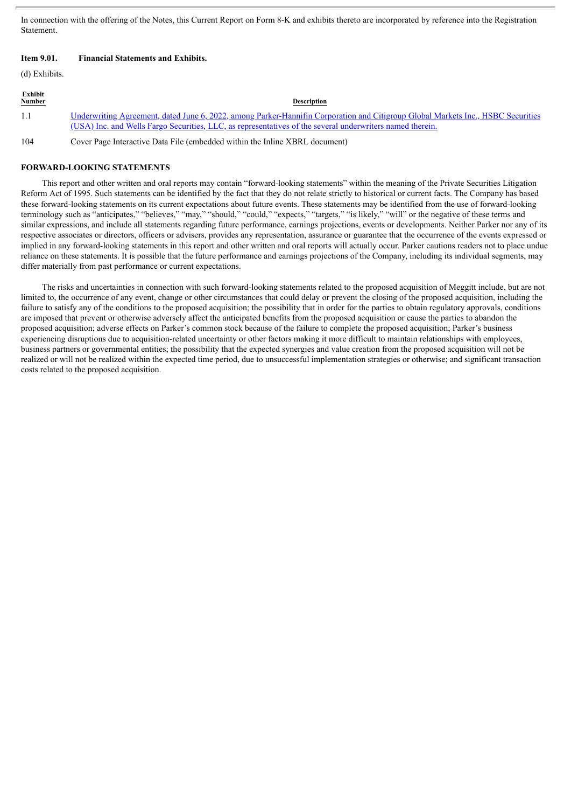In connection with the offering of the Notes, this Current Report on Form 8-K and exhibits thereto are incorporated by reference into the Registration **Statement** 

### **Item 9.01. Financial Statements and Exhibits.**

(d) Exhibits.

| Exhibit<br><u>Number</u> | <b>Description</b>                                                                                                                                                                                                                                   |
|--------------------------|------------------------------------------------------------------------------------------------------------------------------------------------------------------------------------------------------------------------------------------------------|
| 1.1                      | <u>Underwriting Agreement, dated June 6, 2022, among Parker-Hannifin Corporation and Citigroup Global Markets Inc., HSBC Securities</u><br>(USA) Inc. and Wells Fargo Securities, LLC, as representatives of the several underwriters named therein. |
| 104                      | Cover Page Interactive Data File (embedded within the Inline XBRL document)                                                                                                                                                                          |

#### **FORWARD-LOOKING STATEMENTS**

This report and other written and oral reports may contain "forward-looking statements" within the meaning of the Private Securities Litigation Reform Act of 1995. Such statements can be identified by the fact that they do not relate strictly to historical or current facts. The Company has based these forward-looking statements on its current expectations about future events. These statements may be identified from the use of forward-looking terminology such as "anticipates," "believes," "may," "should," "could," "expects," "targets," "is likely," "will" or the negative of these terms and similar expressions, and include all statements regarding future performance, earnings projections, events or developments. Neither Parker nor any of its respective associates or directors, officers or advisers, provides any representation, assurance or guarantee that the occurrence of the events expressed or implied in any forward-looking statements in this report and other written and oral reports will actually occur. Parker cautions readers not to place undue reliance on these statements. It is possible that the future performance and earnings projections of the Company, including its individual segments, may differ materially from past performance or current expectations.

The risks and uncertainties in connection with such forward-looking statements related to the proposed acquisition of Meggitt include, but are not limited to, the occurrence of any event, change or other circumstances that could delay or prevent the closing of the proposed acquisition, including the failure to satisfy any of the conditions to the proposed acquisition; the possibility that in order for the parties to obtain regulatory approvals, conditions are imposed that prevent or otherwise adversely affect the anticipated benefits from the proposed acquisition or cause the parties to abandon the proposed acquisition; adverse effects on Parker's common stock because of the failure to complete the proposed acquisition; Parker's business experiencing disruptions due to acquisition-related uncertainty or other factors making it more difficult to maintain relationships with employees, business partners or governmental entities; the possibility that the expected synergies and value creation from the proposed acquisition will not be realized or will not be realized within the expected time period, due to unsuccessful implementation strategies or otherwise; and significant transaction costs related to the proposed acquisition.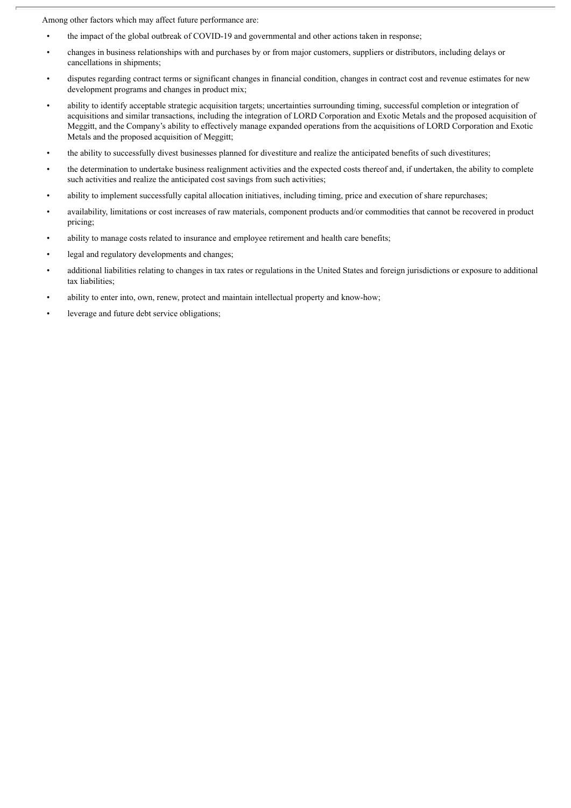Among other factors which may affect future performance are:

- the impact of the global outbreak of COVID-19 and governmental and other actions taken in response;
- changes in business relationships with and purchases by or from major customers, suppliers or distributors, including delays or cancellations in shipments;
- disputes regarding contract terms or significant changes in financial condition, changes in contract cost and revenue estimates for new development programs and changes in product mix;
- ability to identify acceptable strategic acquisition targets; uncertainties surrounding timing, successful completion or integration of acquisitions and similar transactions, including the integration of LORD Corporation and Exotic Metals and the proposed acquisition of Meggitt, and the Company's ability to effectively manage expanded operations from the acquisitions of LORD Corporation and Exotic Metals and the proposed acquisition of Meggitt;
- the ability to successfully divest businesses planned for divestiture and realize the anticipated benefits of such divestitures;
- the determination to undertake business realignment activities and the expected costs thereof and, if undertaken, the ability to complete such activities and realize the anticipated cost savings from such activities;
- ability to implement successfully capital allocation initiatives, including timing, price and execution of share repurchases;
- availability, limitations or cost increases of raw materials, component products and/or commodities that cannot be recovered in product pricing;
- ability to manage costs related to insurance and employee retirement and health care benefits;
- legal and regulatory developments and changes;
- additional liabilities relating to changes in tax rates or regulations in the United States and foreign jurisdictions or exposure to additional tax liabilities;
- ability to enter into, own, renew, protect and maintain intellectual property and know-how;
- leverage and future debt service obligations;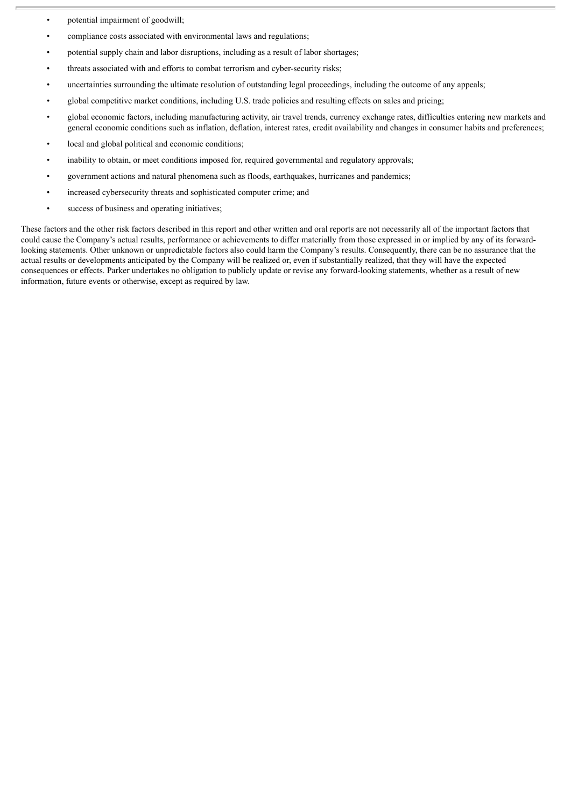- potential impairment of goodwill;
- compliance costs associated with environmental laws and regulations;
- potential supply chain and labor disruptions, including as a result of labor shortages;
- threats associated with and efforts to combat terrorism and cyber-security risks;
- uncertainties surrounding the ultimate resolution of outstanding legal proceedings, including the outcome of any appeals;
- global competitive market conditions, including U.S. trade policies and resulting effects on sales and pricing;
- global economic factors, including manufacturing activity, air travel trends, currency exchange rates, difficulties entering new markets and general economic conditions such as inflation, deflation, interest rates, credit availability and changes in consumer habits and preferences;
- local and global political and economic conditions;
- inability to obtain, or meet conditions imposed for, required governmental and regulatory approvals;
- government actions and natural phenomena such as floods, earthquakes, hurricanes and pandemics;
- increased cybersecurity threats and sophisticated computer crime; and
- success of business and operating initiatives;

These factors and the other risk factors described in this report and other written and oral reports are not necessarily all of the important factors that could cause the Company's actual results, performance or achievements to differ materially from those expressed in or implied by any of its forwardlooking statements. Other unknown or unpredictable factors also could harm the Company's results. Consequently, there can be no assurance that the actual results or developments anticipated by the Company will be realized or, even if substantially realized, that they will have the expected consequences or effects. Parker undertakes no obligation to publicly update or revise any forward-looking statements, whether as a result of new information, future events or otherwise, except as required by law.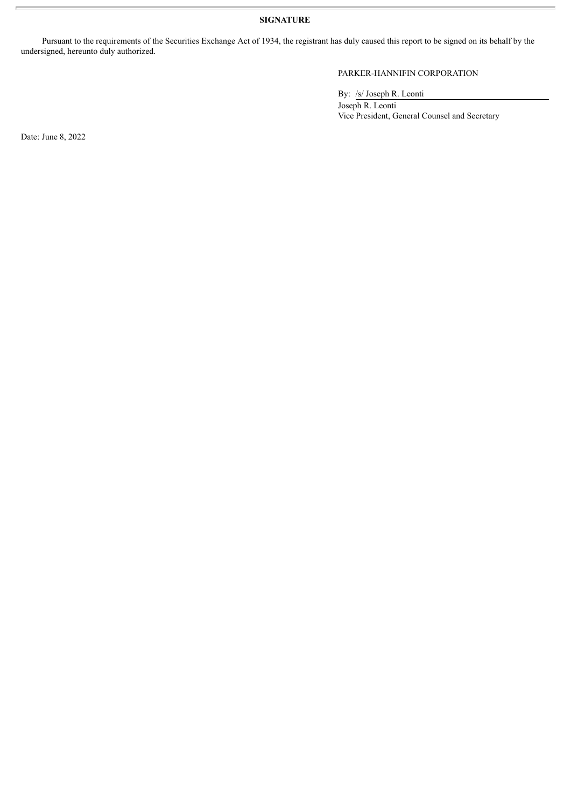**SIGNATURE**

Pursuant to the requirements of the Securities Exchange Act of 1934, the registrant has duly caused this report to be signed on its behalf by the undersigned, hereunto duly authorized.

# PARKER-HANNIFIN CORPORATION

By: /s/ Joseph R. Leonti

Joseph R. Leonti Vice President, General Counsel and Secretary

Date: June 8, 2022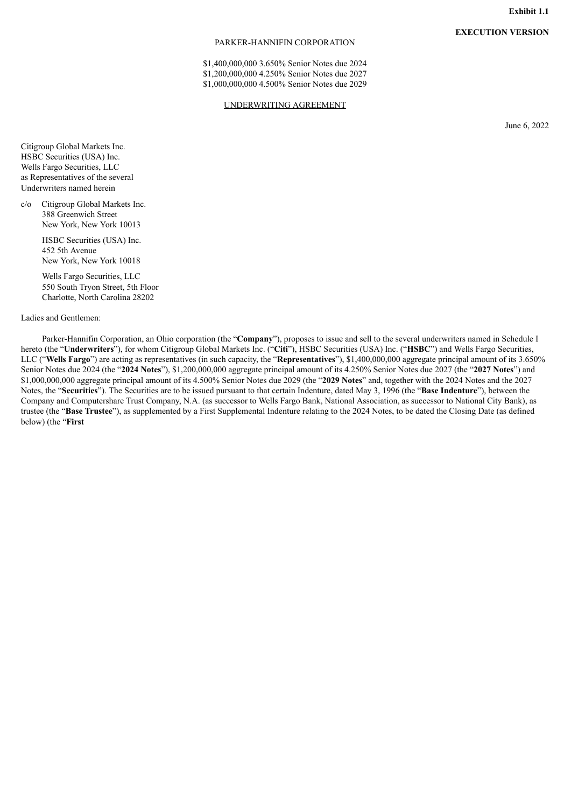# **EXECUTION VERSION**

#### PARKER-HANNIFIN CORPORATION

\$1,400,000,000 3.650% Senior Notes due 2024 \$1,200,000,000 4.250% Senior Notes due 2027 \$1,000,000,000 4.500% Senior Notes due 2029

#### UNDERWRITING AGREEMENT

June 6, 2022

<span id="page-6-0"></span>Citigroup Global Markets Inc. HSBC Securities (USA) Inc. Wells Fargo Securities, LLC as Representatives of the several Underwriters named herein

c/o Citigroup Global Markets Inc. 388 Greenwich Street New York, New York 10013

> HSBC Securities (USA) Inc. 452 5th Avenue New York, New York 10018

Wells Fargo Securities, LLC 550 South Tryon Street, 5th Floor Charlotte, North Carolina 28202

Ladies and Gentlemen:

Parker-Hannifin Corporation, an Ohio corporation (the "**Company**"), proposes to issue and sell to the several underwriters named in Schedule I hereto (the "**Underwriters**"), for whom Citigroup Global Markets Inc. ("**Citi**"), HSBC Securities (USA) Inc. ("**HSBC**") and Wells Fargo Securities, LLC ("**Wells Fargo**") are acting as representatives (in such capacity, the "**Representatives**"), \$1,400,000,000 aggregate principal amount of its 3.650% Senior Notes due 2024 (the "**2024 Notes**"), \$1,200,000,000 aggregate principal amount of its 4.250% Senior Notes due 2027 (the "**2027 Notes**") and \$1,000,000,000 aggregate principal amount of its 4.500% Senior Notes due 2029 (the "**2029 Notes**" and, together with the 2024 Notes and the 2027 Notes, the "**Securities**"). The Securities are to be issued pursuant to that certain Indenture, dated May 3, 1996 (the "**Base Indenture**"), between the Company and Computershare Trust Company, N.A. (as successor to Wells Fargo Bank, National Association, as successor to National City Bank), as trustee (the "**Base Trustee**"), as supplemented by a First Supplemental Indenture relating to the 2024 Notes, to be dated the Closing Date (as defined below) (the "**First**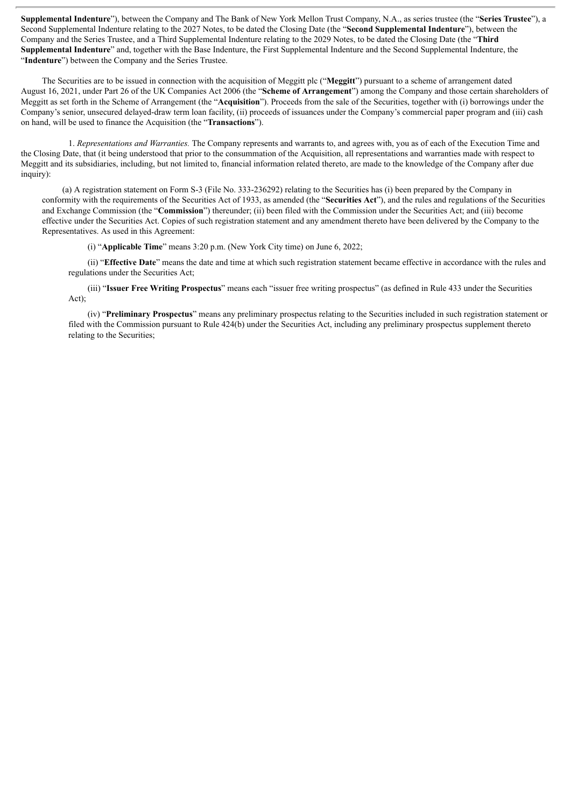**Supplemental Indenture**"), between the Company and The Bank of New York Mellon Trust Company, N.A., as series trustee (the "**Series Trustee**"), a Second Supplemental Indenture relating to the 2027 Notes, to be dated the Closing Date (the "**Second Supplemental Indenture**"), between the Company and the Series Trustee, and a Third Supplemental Indenture relating to the 2029 Notes, to be dated the Closing Date (the "**Third Supplemental Indenture**" and, together with the Base Indenture, the First Supplemental Indenture and the Second Supplemental Indenture, the "**Indenture**") between the Company and the Series Trustee.

The Securities are to be issued in connection with the acquisition of Meggitt plc ("**Meggitt**") pursuant to a scheme of arrangement dated August 16, 2021, under Part 26 of the UK Companies Act 2006 (the "**Scheme of Arrangement**") among the Company and those certain shareholders of Meggitt as set forth in the Scheme of Arrangement (the "**Acquisition**"). Proceeds from the sale of the Securities, together with (i) borrowings under the Company's senior, unsecured delayed-draw term loan facility, (ii) proceeds of issuances under the Company's commercial paper program and (iii) cash on hand, will be used to finance the Acquisition (the "**Transactions**").

1. *Representations and Warranties.* The Company represents and warrants to, and agrees with, you as of each of the Execution Time and the Closing Date, that (it being understood that prior to the consummation of the Acquisition, all representations and warranties made with respect to Meggitt and its subsidiaries, including, but not limited to, financial information related thereto, are made to the knowledge of the Company after due inquiry):

(a) A registration statement on Form S-3 (File No. 333-236292) relating to the Securities has (i) been prepared by the Company in conformity with the requirements of the Securities Act of 1933, as amended (the "**Securities Act**"), and the rules and regulations of the Securities and Exchange Commission (the "**Commission**") thereunder; (ii) been filed with the Commission under the Securities Act; and (iii) become effective under the Securities Act. Copies of such registration statement and any amendment thereto have been delivered by the Company to the Representatives. As used in this Agreement:

(i) "**Applicable Time**" means 3:20 p.m. (New York City time) on June 6, 2022;

(ii) "**Effective Date**" means the date and time at which such registration statement became effective in accordance with the rules and regulations under the Securities Act;

(iii) "**Issuer Free Writing Prospectus**" means each "issuer free writing prospectus" (as defined in Rule 433 under the Securities Act);

(iv) "**Preliminary Prospectus**" means any preliminary prospectus relating to the Securities included in such registration statement or filed with the Commission pursuant to Rule 424(b) under the Securities Act, including any preliminary prospectus supplement thereto relating to the Securities;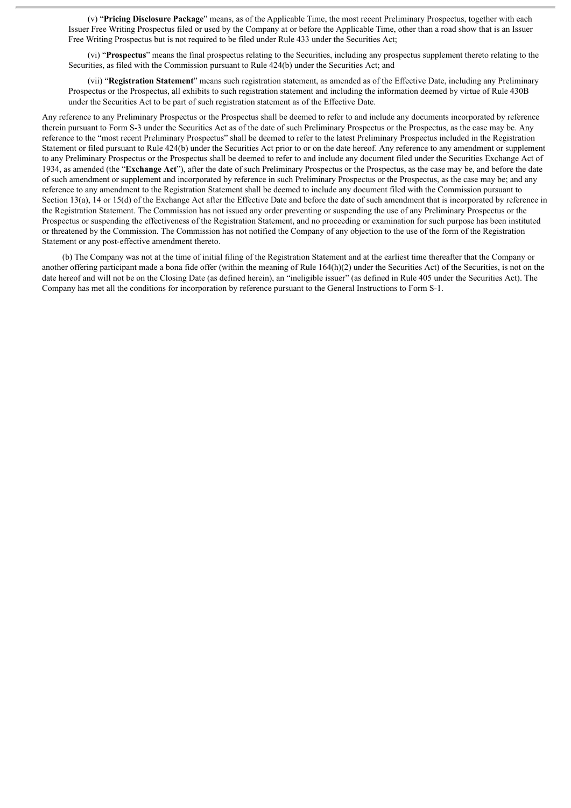(v) "**Pricing Disclosure Package**" means, as of the Applicable Time, the most recent Preliminary Prospectus, together with each Issuer Free Writing Prospectus filed or used by the Company at or before the Applicable Time, other than a road show that is an Issuer Free Writing Prospectus but is not required to be filed under Rule 433 under the Securities Act;

(vi) "**Prospectus**" means the final prospectus relating to the Securities, including any prospectus supplement thereto relating to the Securities, as filed with the Commission pursuant to Rule 424(b) under the Securities Act; and

(vii) "**Registration Statement**" means such registration statement, as amended as of the Effective Date, including any Preliminary Prospectus or the Prospectus, all exhibits to such registration statement and including the information deemed by virtue of Rule 430B under the Securities Act to be part of such registration statement as of the Effective Date.

Any reference to any Preliminary Prospectus or the Prospectus shall be deemed to refer to and include any documents incorporated by reference therein pursuant to Form S-3 under the Securities Act as of the date of such Preliminary Prospectus or the Prospectus, as the case may be. Any reference to the "most recent Preliminary Prospectus" shall be deemed to refer to the latest Preliminary Prospectus included in the Registration Statement or filed pursuant to Rule 424(b) under the Securities Act prior to or on the date hereof. Any reference to any amendment or supplement to any Preliminary Prospectus or the Prospectus shall be deemed to refer to and include any document filed under the Securities Exchange Act of 1934, as amended (the "**Exchange Act**"), after the date of such Preliminary Prospectus or the Prospectus, as the case may be, and before the date of such amendment or supplement and incorporated by reference in such Preliminary Prospectus or the Prospectus, as the case may be; and any reference to any amendment to the Registration Statement shall be deemed to include any document filed with the Commission pursuant to Section 13(a), 14 or 15(d) of the Exchange Act after the Effective Date and before the date of such amendment that is incorporated by reference in the Registration Statement. The Commission has not issued any order preventing or suspending the use of any Preliminary Prospectus or the Prospectus or suspending the effectiveness of the Registration Statement, and no proceeding or examination for such purpose has been instituted or threatened by the Commission. The Commission has not notified the Company of any objection to the use of the form of the Registration Statement or any post-effective amendment thereto.

(b) The Company was not at the time of initial filing of the Registration Statement and at the earliest time thereafter that the Company or another offering participant made a bona fide offer (within the meaning of Rule 164(h)(2) under the Securities Act) of the Securities, is not on the date hereof and will not be on the Closing Date (as defined herein), an "ineligible issuer" (as defined in Rule 405 under the Securities Act). The Company has met all the conditions for incorporation by reference pursuant to the General Instructions to Form S-1.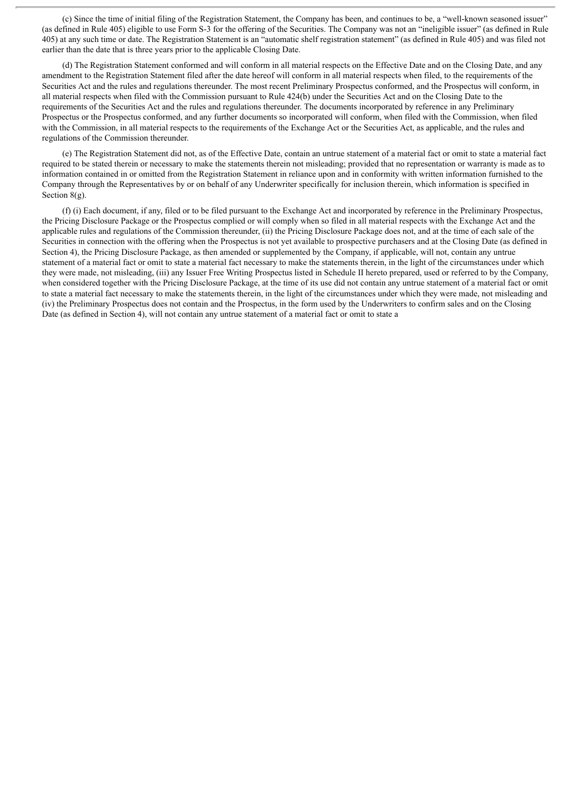(c) Since the time of initial filing of the Registration Statement, the Company has been, and continues to be, a "well-known seasoned issuer" (as defined in Rule 405) eligible to use Form S-3 for the offering of the Securities. The Company was not an "ineligible issuer" (as defined in Rule 405) at any such time or date. The Registration Statement is an "automatic shelf registration statement" (as defined in Rule 405) and was filed not earlier than the date that is three years prior to the applicable Closing Date.

(d) The Registration Statement conformed and will conform in all material respects on the Effective Date and on the Closing Date, and any amendment to the Registration Statement filed after the date hereof will conform in all material respects when filed, to the requirements of the Securities Act and the rules and regulations thereunder. The most recent Preliminary Prospectus conformed, and the Prospectus will conform, in all material respects when filed with the Commission pursuant to Rule 424(b) under the Securities Act and on the Closing Date to the requirements of the Securities Act and the rules and regulations thereunder. The documents incorporated by reference in any Preliminary Prospectus or the Prospectus conformed, and any further documents so incorporated will conform, when filed with the Commission, when filed with the Commission, in all material respects to the requirements of the Exchange Act or the Securities Act, as applicable, and the rules and regulations of the Commission thereunder.

(e) The Registration Statement did not, as of the Effective Date, contain an untrue statement of a material fact or omit to state a material fact required to be stated therein or necessary to make the statements therein not misleading; provided that no representation or warranty is made as to information contained in or omitted from the Registration Statement in reliance upon and in conformity with written information furnished to the Company through the Representatives by or on behalf of any Underwriter specifically for inclusion therein, which information is specified in Section 8(g).

(f) (i) Each document, if any, filed or to be filed pursuant to the Exchange Act and incorporated by reference in the Preliminary Prospectus, the Pricing Disclosure Package or the Prospectus complied or will comply when so filed in all material respects with the Exchange Act and the applicable rules and regulations of the Commission thereunder, (ii) the Pricing Disclosure Package does not, and at the time of each sale of the Securities in connection with the offering when the Prospectus is not yet available to prospective purchasers and at the Closing Date (as defined in Section 4), the Pricing Disclosure Package, as then amended or supplemented by the Company, if applicable, will not, contain any untrue statement of a material fact or omit to state a material fact necessary to make the statements therein, in the light of the circumstances under which they were made, not misleading, (iii) any Issuer Free Writing Prospectus listed in Schedule II hereto prepared, used or referred to by the Company, when considered together with the Pricing Disclosure Package, at the time of its use did not contain any untrue statement of a material fact or omit to state a material fact necessary to make the statements therein, in the light of the circumstances under which they were made, not misleading and (iv) the Preliminary Prospectus does not contain and the Prospectus, in the form used by the Underwriters to confirm sales and on the Closing Date (as defined in Section 4), will not contain any untrue statement of a material fact or omit to state a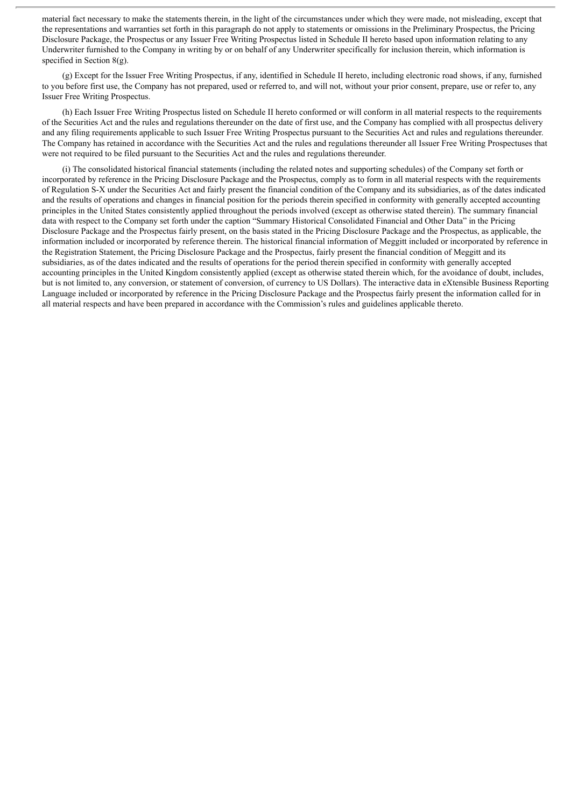material fact necessary to make the statements therein, in the light of the circumstances under which they were made, not misleading, except that the representations and warranties set forth in this paragraph do not apply to statements or omissions in the Preliminary Prospectus, the Pricing Disclosure Package, the Prospectus or any Issuer Free Writing Prospectus listed in Schedule II hereto based upon information relating to any Underwriter furnished to the Company in writing by or on behalf of any Underwriter specifically for inclusion therein, which information is specified in Section 8(g).

(g) Except for the Issuer Free Writing Prospectus, if any, identified in Schedule II hereto, including electronic road shows, if any, furnished to you before first use, the Company has not prepared, used or referred to, and will not, without your prior consent, prepare, use or refer to, any Issuer Free Writing Prospectus.

(h) Each Issuer Free Writing Prospectus listed on Schedule II hereto conformed or will conform in all material respects to the requirements of the Securities Act and the rules and regulations thereunder on the date of first use, and the Company has complied with all prospectus delivery and any filing requirements applicable to such Issuer Free Writing Prospectus pursuant to the Securities Act and rules and regulations thereunder. The Company has retained in accordance with the Securities Act and the rules and regulations thereunder all Issuer Free Writing Prospectuses that were not required to be filed pursuant to the Securities Act and the rules and regulations thereunder.

(i) The consolidated historical financial statements (including the related notes and supporting schedules) of the Company set forth or incorporated by reference in the Pricing Disclosure Package and the Prospectus, comply as to form in all material respects with the requirements of Regulation S-X under the Securities Act and fairly present the financial condition of the Company and its subsidiaries, as of the dates indicated and the results of operations and changes in financial position for the periods therein specified in conformity with generally accepted accounting principles in the United States consistently applied throughout the periods involved (except as otherwise stated therein). The summary financial data with respect to the Company set forth under the caption "Summary Historical Consolidated Financial and Other Data" in the Pricing Disclosure Package and the Prospectus fairly present, on the basis stated in the Pricing Disclosure Package and the Prospectus, as applicable, the information included or incorporated by reference therein. The historical financial information of Meggitt included or incorporated by reference in the Registration Statement, the Pricing Disclosure Package and the Prospectus, fairly present the financial condition of Meggitt and its subsidiaries, as of the dates indicated and the results of operations for the period therein specified in conformity with generally accepted accounting principles in the United Kingdom consistently applied (except as otherwise stated therein which, for the avoidance of doubt, includes, but is not limited to, any conversion, or statement of conversion, of currency to US Dollars). The interactive data in eXtensible Business Reporting Language included or incorporated by reference in the Pricing Disclosure Package and the Prospectus fairly present the information called for in all material respects and have been prepared in accordance with the Commission's rules and guidelines applicable thereto.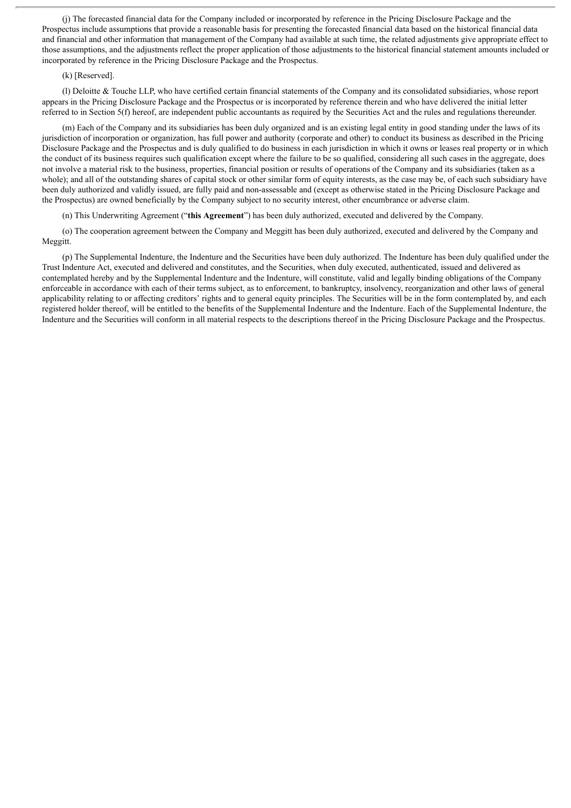(j) The forecasted financial data for the Company included or incorporated by reference in the Pricing Disclosure Package and the Prospectus include assumptions that provide a reasonable basis for presenting the forecasted financial data based on the historical financial data and financial and other information that management of the Company had available at such time, the related adjustments give appropriate effect to those assumptions, and the adjustments reflect the proper application of those adjustments to the historical financial statement amounts included or incorporated by reference in the Pricing Disclosure Package and the Prospectus.

#### (k) [Reserved].

(l) Deloitte & Touche LLP, who have certified certain financial statements of the Company and its consolidated subsidiaries, whose report appears in the Pricing Disclosure Package and the Prospectus or is incorporated by reference therein and who have delivered the initial letter referred to in Section 5(f) hereof, are independent public accountants as required by the Securities Act and the rules and regulations thereunder.

(m) Each of the Company and its subsidiaries has been duly organized and is an existing legal entity in good standing under the laws of its jurisdiction of incorporation or organization, has full power and authority (corporate and other) to conduct its business as described in the Pricing Disclosure Package and the Prospectus and is duly qualified to do business in each jurisdiction in which it owns or leases real property or in which the conduct of its business requires such qualification except where the failure to be so qualified, considering all such cases in the aggregate, does not involve a material risk to the business, properties, financial position or results of operations of the Company and its subsidiaries (taken as a whole); and all of the outstanding shares of capital stock or other similar form of equity interests, as the case may be, of each such subsidiary have been duly authorized and validly issued, are fully paid and non-assessable and (except as otherwise stated in the Pricing Disclosure Package and the Prospectus) are owned beneficially by the Company subject to no security interest, other encumbrance or adverse claim.

(n) This Underwriting Agreement ("**this Agreement**") has been duly authorized, executed and delivered by the Company.

(o) The cooperation agreement between the Company and Meggitt has been duly authorized, executed and delivered by the Company and Meggitt.

(p) The Supplemental Indenture, the Indenture and the Securities have been duly authorized. The Indenture has been duly qualified under the Trust Indenture Act, executed and delivered and constitutes, and the Securities, when duly executed, authenticated, issued and delivered as contemplated hereby and by the Supplemental Indenture and the Indenture, will constitute, valid and legally binding obligations of the Company enforceable in accordance with each of their terms subject, as to enforcement, to bankruptcy, insolvency, reorganization and other laws of general applicability relating to or affecting creditors' rights and to general equity principles. The Securities will be in the form contemplated by, and each registered holder thereof, will be entitled to the benefits of the Supplemental Indenture and the Indenture. Each of the Supplemental Indenture, the Indenture and the Securities will conform in all material respects to the descriptions thereof in the Pricing Disclosure Package and the Prospectus.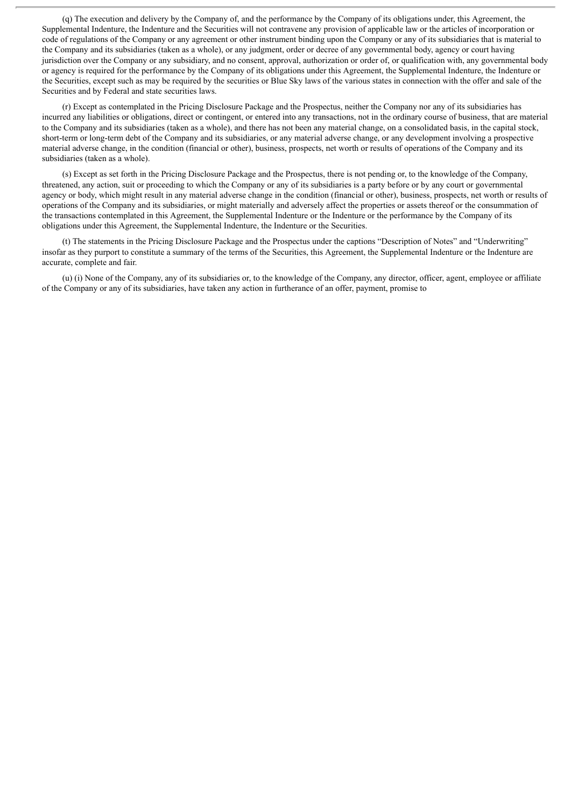(q) The execution and delivery by the Company of, and the performance by the Company of its obligations under, this Agreement, the Supplemental Indenture, the Indenture and the Securities will not contravene any provision of applicable law or the articles of incorporation or code of regulations of the Company or any agreement or other instrument binding upon the Company or any of its subsidiaries that is material to the Company and its subsidiaries (taken as a whole), or any judgment, order or decree of any governmental body, agency or court having jurisdiction over the Company or any subsidiary, and no consent, approval, authorization or order of, or qualification with, any governmental body or agency is required for the performance by the Company of its obligations under this Agreement, the Supplemental Indenture, the Indenture or the Securities, except such as may be required by the securities or Blue Sky laws of the various states in connection with the offer and sale of the Securities and by Federal and state securities laws.

(r) Except as contemplated in the Pricing Disclosure Package and the Prospectus, neither the Company nor any of its subsidiaries has incurred any liabilities or obligations, direct or contingent, or entered into any transactions, not in the ordinary course of business, that are material to the Company and its subsidiaries (taken as a whole), and there has not been any material change, on a consolidated basis, in the capital stock, short-term or long-term debt of the Company and its subsidiaries, or any material adverse change, or any development involving a prospective material adverse change, in the condition (financial or other), business, prospects, net worth or results of operations of the Company and its subsidiaries (taken as a whole).

(s) Except as set forth in the Pricing Disclosure Package and the Prospectus, there is not pending or, to the knowledge of the Company, threatened, any action, suit or proceeding to which the Company or any of its subsidiaries is a party before or by any court or governmental agency or body, which might result in any material adverse change in the condition (financial or other), business, prospects, net worth or results of operations of the Company and its subsidiaries, or might materially and adversely affect the properties or assets thereof or the consummation of the transactions contemplated in this Agreement, the Supplemental Indenture or the Indenture or the performance by the Company of its obligations under this Agreement, the Supplemental Indenture, the Indenture or the Securities.

(t) The statements in the Pricing Disclosure Package and the Prospectus under the captions "Description of Notes" and "Underwriting" insofar as they purport to constitute a summary of the terms of the Securities, this Agreement, the Supplemental Indenture or the Indenture are accurate, complete and fair.

(u) (i) None of the Company, any of its subsidiaries or, to the knowledge of the Company, any director, officer, agent, employee or affiliate of the Company or any of its subsidiaries, have taken any action in furtherance of an offer, payment, promise to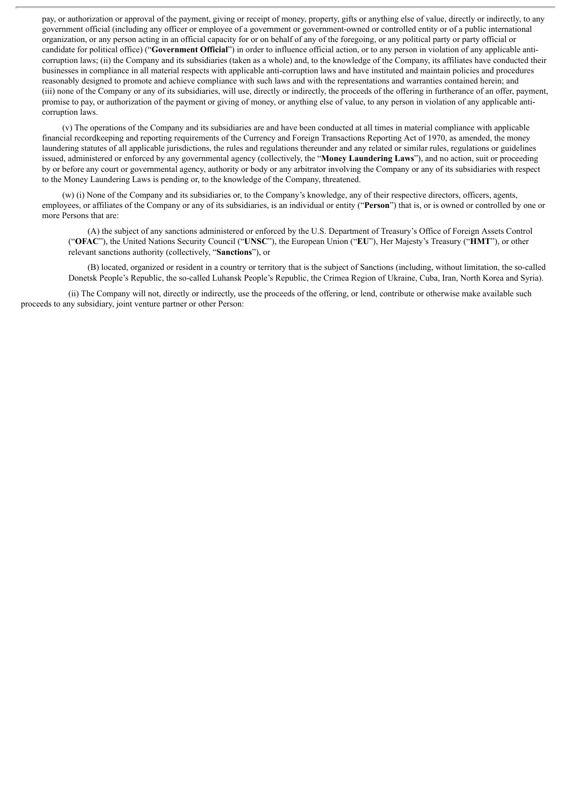pay, or authorization or approval of the payment, giving or receipt of money, property, gifts or anything else of value, directly or indirectly, to any government official (including any officer or employee of a government or government-owned or controlled entity or of a public international organization, or any person acting in an official capacity for or on behalf of any of the foregoing, or any political party or party official or candidate for political office) ("**Government Official**") in order to influence official action, or to any person in violation of any applicable anticorruption laws; (ii) the Company and its subsidiaries (taken as a whole) and, to the knowledge of the Company, its affiliates have conducted their businesses in compliance in all material respects with applicable anti-corruption laws and have instituted and maintain policies and procedures reasonably designed to promote and achieve compliance with such laws and with the representations and warranties contained herein; and (iii) none of the Company or any of its subsidiaries, will use, directly or indirectly, the proceeds of the offering in furtherance of an offer, payment, promise to pay, or authorization of the payment or giving of money, or anything else of value, to any person in violation of any applicable anticorruption laws.

(v) The operations of the Company and its subsidiaries are and have been conducted at all times in material compliance with applicable financial recordkeeping and reporting requirements of the Currency and Foreign Transactions Reporting Act of 1970, as amended, the money laundering statutes of all applicable jurisdictions, the rules and regulations thereunder and any related or similar rules, regulations or guidelines issued, administered or enforced by any governmental agency (collectively, the "**Money Laundering Laws**"), and no action, suit or proceeding by or before any court or governmental agency, authority or body or any arbitrator involving the Company or any of its subsidiaries with respect to the Money Laundering Laws is pending or, to the knowledge of the Company, threatened.

(w) (i) None of the Company and its subsidiaries or, to the Company's knowledge, any of their respective directors, officers, agents, employees, or affiliates of the Company or any of its subsidiaries, is an individual or entity ("**Person**") that is, or is owned or controlled by one or more Persons that are:

(A) the subject of any sanctions administered or enforced by the U.S. Department of Treasury's Office of Foreign Assets Control ("**OFAC**"), the United Nations Security Council ("**UNSC**"), the European Union ("**EU**"), Her Majesty's Treasury ("**HMT**"), or other relevant sanctions authority (collectively, "**Sanctions**"), or

(B) located, organized or resident in a country or territory that is the subject of Sanctions (including, without limitation, the so-called Donetsk People's Republic, the so-called Luhansk People's Republic, the Crimea Region of Ukraine, Cuba, Iran, North Korea and Syria).

(ii) The Company will not, directly or indirectly, use the proceeds of the offering, or lend, contribute or otherwise make available such proceeds to any subsidiary, joint venture partner or other Person: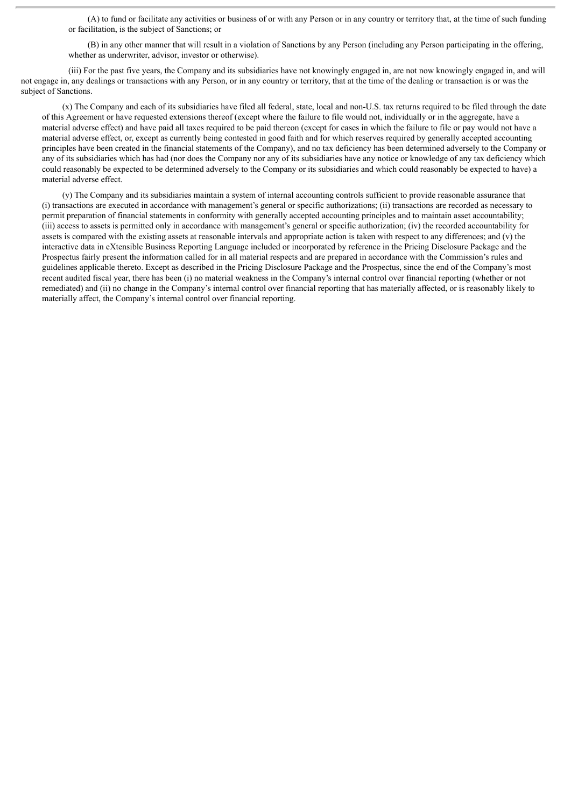(A) to fund or facilitate any activities or business of or with any Person or in any country or territory that, at the time of such funding or facilitation, is the subject of Sanctions; or

(B) in any other manner that will result in a violation of Sanctions by any Person (including any Person participating in the offering, whether as underwriter, advisor, investor or otherwise).

(iii) For the past five years, the Company and its subsidiaries have not knowingly engaged in, are not now knowingly engaged in, and will not engage in, any dealings or transactions with any Person, or in any country or territory, that at the time of the dealing or transaction is or was the subject of Sanctions.

(x) The Company and each of its subsidiaries have filed all federal, state, local and non-U.S. tax returns required to be filed through the date of this Agreement or have requested extensions thereof (except where the failure to file would not, individually or in the aggregate, have a material adverse effect) and have paid all taxes required to be paid thereon (except for cases in which the failure to file or pay would not have a material adverse effect, or, except as currently being contested in good faith and for which reserves required by generally accepted accounting principles have been created in the financial statements of the Company), and no tax deficiency has been determined adversely to the Company or any of its subsidiaries which has had (nor does the Company nor any of its subsidiaries have any notice or knowledge of any tax deficiency which could reasonably be expected to be determined adversely to the Company or its subsidiaries and which could reasonably be expected to have) a material adverse effect.

(y) The Company and its subsidiaries maintain a system of internal accounting controls sufficient to provide reasonable assurance that (i) transactions are executed in accordance with management's general or specific authorizations; (ii) transactions are recorded as necessary to permit preparation of financial statements in conformity with generally accepted accounting principles and to maintain asset accountability; (iii) access to assets is permitted only in accordance with management's general or specific authorization; (iv) the recorded accountability for assets is compared with the existing assets at reasonable intervals and appropriate action is taken with respect to any differences; and (v) the interactive data in eXtensible Business Reporting Language included or incorporated by reference in the Pricing Disclosure Package and the Prospectus fairly present the information called for in all material respects and are prepared in accordance with the Commission's rules and guidelines applicable thereto. Except as described in the Pricing Disclosure Package and the Prospectus, since the end of the Company's most recent audited fiscal year, there has been (i) no material weakness in the Company's internal control over financial reporting (whether or not remediated) and (ii) no change in the Company's internal control over financial reporting that has materially affected, or is reasonably likely to materially affect, the Company's internal control over financial reporting.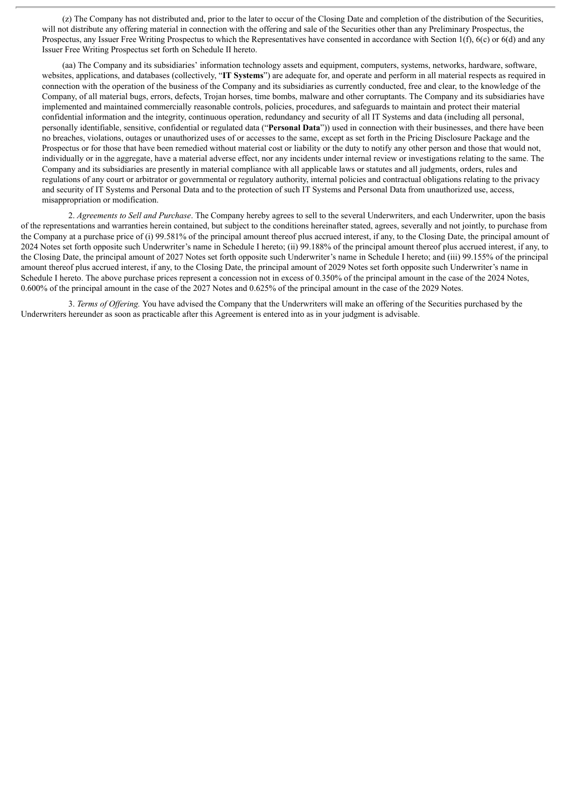(z) The Company has not distributed and, prior to the later to occur of the Closing Date and completion of the distribution of the Securities, will not distribute any offering material in connection with the offering and sale of the Securities other than any Preliminary Prospectus, the Prospectus, any Issuer Free Writing Prospectus to which the Representatives have consented in accordance with Section 1(f), 6(c) or 6(d) and any Issuer Free Writing Prospectus set forth on Schedule II hereto.

(aa) The Company and its subsidiaries' information technology assets and equipment, computers, systems, networks, hardware, software, websites, applications, and databases (collectively, "**IT Systems**") are adequate for, and operate and perform in all material respects as required in connection with the operation of the business of the Company and its subsidiaries as currently conducted, free and clear, to the knowledge of the Company, of all material bugs, errors, defects, Trojan horses, time bombs, malware and other corruptants. The Company and its subsidiaries have implemented and maintained commercially reasonable controls, policies, procedures, and safeguards to maintain and protect their material confidential information and the integrity, continuous operation, redundancy and security of all IT Systems and data (including all personal, personally identifiable, sensitive, confidential or regulated data ("**Personal Data**")) used in connection with their businesses, and there have been no breaches, violations, outages or unauthorized uses of or accesses to the same, except as set forth in the Pricing Disclosure Package and the Prospectus or for those that have been remedied without material cost or liability or the duty to notify any other person and those that would not, individually or in the aggregate, have a material adverse effect, nor any incidents under internal review or investigations relating to the same. The Company and its subsidiaries are presently in material compliance with all applicable laws or statutes and all judgments, orders, rules and regulations of any court or arbitrator or governmental or regulatory authority, internal policies and contractual obligations relating to the privacy and security of IT Systems and Personal Data and to the protection of such IT Systems and Personal Data from unauthorized use, access, misappropriation or modification.

2. *Agreements to Sell and Purchase*. The Company hereby agrees to sell to the several Underwriters, and each Underwriter, upon the basis of the representations and warranties herein contained, but subject to the conditions hereinafter stated, agrees, severally and not jointly, to purchase from the Company at a purchase price of (i) 99.581% of the principal amount thereof plus accrued interest, if any, to the Closing Date, the principal amount of 2024 Notes set forth opposite such Underwriter's name in Schedule I hereto; (ii) 99.188% of the principal amount thereof plus accrued interest, if any, to the Closing Date, the principal amount of 2027 Notes set forth opposite such Underwriter's name in Schedule I hereto; and (iii) 99.155% of the principal amount thereof plus accrued interest, if any, to the Closing Date, the principal amount of 2029 Notes set forth opposite such Underwriter's name in Schedule I hereto. The above purchase prices represent a concession not in excess of 0.350% of the principal amount in the case of the 2024 Notes, 0.600% of the principal amount in the case of the 2027 Notes and 0.625% of the principal amount in the case of the 2029 Notes.

3. *Terms of Of ering.* You have advised the Company that the Underwriters will make an offering of the Securities purchased by the Underwriters hereunder as soon as practicable after this Agreement is entered into as in your judgment is advisable.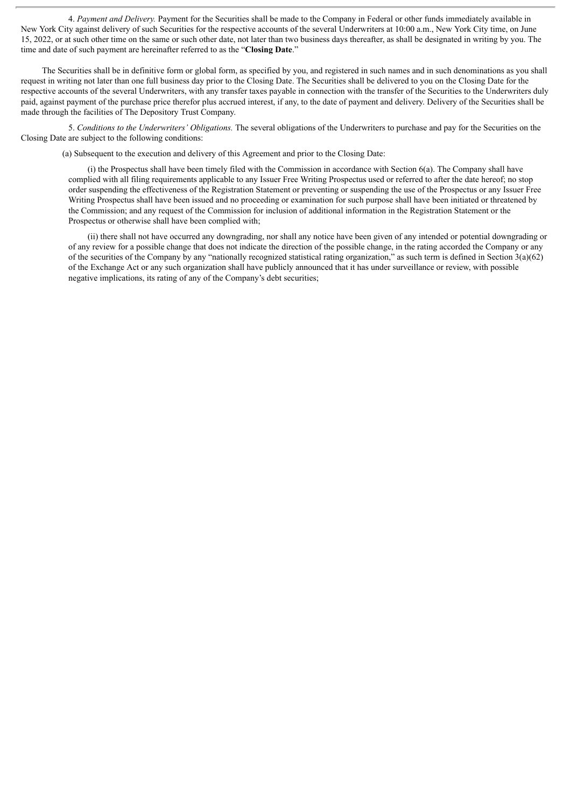4. *Payment and Delivery.* Payment for the Securities shall be made to the Company in Federal or other funds immediately available in New York City against delivery of such Securities for the respective accounts of the several Underwriters at 10:00 a.m., New York City time, on June 15, 2022, or at such other time on the same or such other date, not later than two business days thereafter, as shall be designated in writing by you. The time and date of such payment are hereinafter referred to as the "**Closing Date**."

The Securities shall be in definitive form or global form, as specified by you, and registered in such names and in such denominations as you shall request in writing not later than one full business day prior to the Closing Date. The Securities shall be delivered to you on the Closing Date for the respective accounts of the several Underwriters, with any transfer taxes payable in connection with the transfer of the Securities to the Underwriters duly paid, against payment of the purchase price therefor plus accrued interest, if any, to the date of payment and delivery. Delivery of the Securities shall be made through the facilities of The Depository Trust Company.

5. *Conditions to the Underwriters' Obligations.* The several obligations of the Underwriters to purchase and pay for the Securities on the Closing Date are subject to the following conditions:

(a) Subsequent to the execution and delivery of this Agreement and prior to the Closing Date:

(i) the Prospectus shall have been timely filed with the Commission in accordance with Section 6(a). The Company shall have complied with all filing requirements applicable to any Issuer Free Writing Prospectus used or referred to after the date hereof; no stop order suspending the effectiveness of the Registration Statement or preventing or suspending the use of the Prospectus or any Issuer Free Writing Prospectus shall have been issued and no proceeding or examination for such purpose shall have been initiated or threatened by the Commission; and any request of the Commission for inclusion of additional information in the Registration Statement or the Prospectus or otherwise shall have been complied with;

(ii) there shall not have occurred any downgrading, nor shall any notice have been given of any intended or potential downgrading or of any review for a possible change that does not indicate the direction of the possible change, in the rating accorded the Company or any of the securities of the Company by any "nationally recognized statistical rating organization," as such term is defined in Section 3(a)(62) of the Exchange Act or any such organization shall have publicly announced that it has under surveillance or review, with possible negative implications, its rating of any of the Company's debt securities;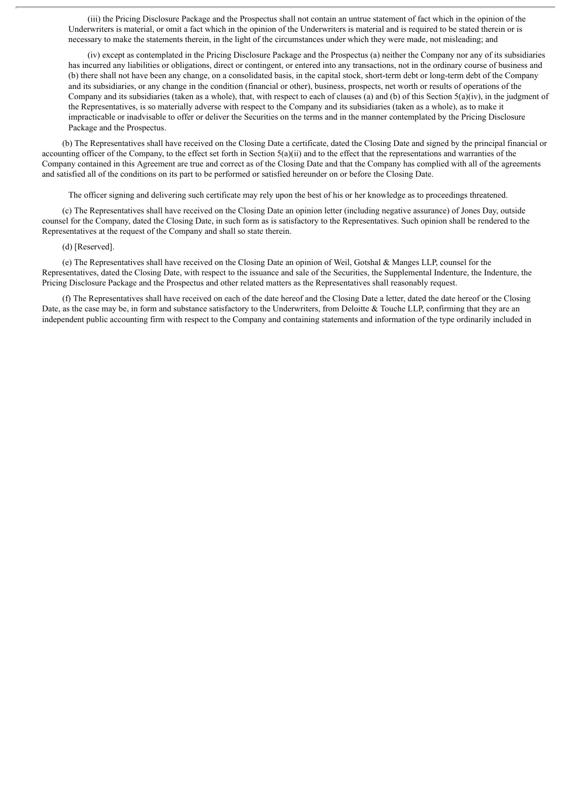(iii) the Pricing Disclosure Package and the Prospectus shall not contain an untrue statement of fact which in the opinion of the Underwriters is material, or omit a fact which in the opinion of the Underwriters is material and is required to be stated therein or is necessary to make the statements therein, in the light of the circumstances under which they were made, not misleading; and

(iv) except as contemplated in the Pricing Disclosure Package and the Prospectus (a) neither the Company nor any of its subsidiaries has incurred any liabilities or obligations, direct or contingent, or entered into any transactions, not in the ordinary course of business and (b) there shall not have been any change, on a consolidated basis, in the capital stock, short-term debt or long-term debt of the Company and its subsidiaries, or any change in the condition (financial or other), business, prospects, net worth or results of operations of the Company and its subsidiaries (taken as a whole), that, with respect to each of clauses (a) and (b) of this Section  $5(a)(iv)$ , in the judgment of the Representatives, is so materially adverse with respect to the Company and its subsidiaries (taken as a whole), as to make it impracticable or inadvisable to offer or deliver the Securities on the terms and in the manner contemplated by the Pricing Disclosure Package and the Prospectus.

(b) The Representatives shall have received on the Closing Date a certificate, dated the Closing Date and signed by the principal financial or accounting officer of the Company, to the effect set forth in Section  $5(a)(ii)$  and to the effect that the representations and warranties of the Company contained in this Agreement are true and correct as of the Closing Date and that the Company has complied with all of the agreements and satisfied all of the conditions on its part to be performed or satisfied hereunder on or before the Closing Date.

The officer signing and delivering such certificate may rely upon the best of his or her knowledge as to proceedings threatened.

(c) The Representatives shall have received on the Closing Date an opinion letter (including negative assurance) of Jones Day, outside counsel for the Company, dated the Closing Date, in such form as is satisfactory to the Representatives. Such opinion shall be rendered to the Representatives at the request of the Company and shall so state therein.

#### (d) [Reserved].

(e) The Representatives shall have received on the Closing Date an opinion of Weil, Gotshal & Manges LLP, counsel for the Representatives, dated the Closing Date, with respect to the issuance and sale of the Securities, the Supplemental Indenture, the Indenture, the Pricing Disclosure Package and the Prospectus and other related matters as the Representatives shall reasonably request.

(f) The Representatives shall have received on each of the date hereof and the Closing Date a letter, dated the date hereof or the Closing Date, as the case may be, in form and substance satisfactory to the Underwriters, from Deloitte & Touche LLP, confirming that they are an independent public accounting firm with respect to the Company and containing statements and information of the type ordinarily included in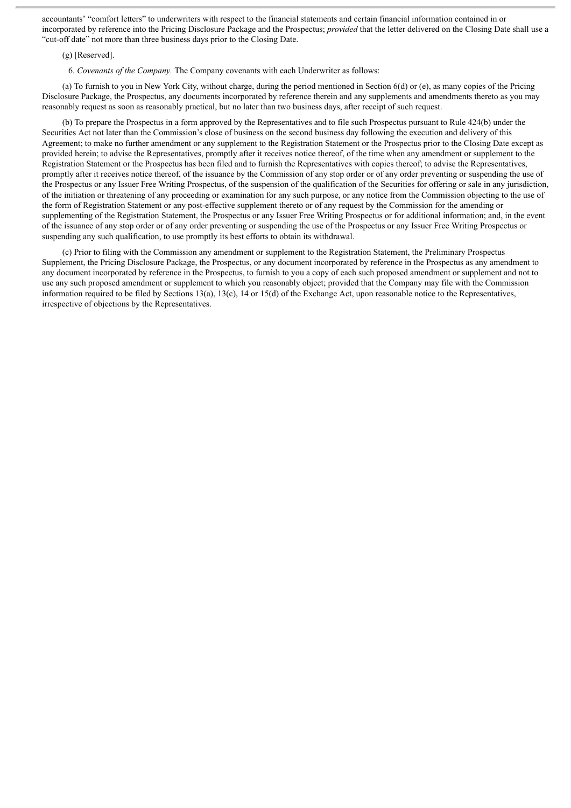accountants' "comfort letters" to underwriters with respect to the financial statements and certain financial information contained in or incorporated by reference into the Pricing Disclosure Package and the Prospectus; *provided* that the letter delivered on the Closing Date shall use a "cut-off date" not more than three business days prior to the Closing Date.

#### (g) [Reserved].

6. *Covenants of the Company.* The Company covenants with each Underwriter as follows:

(a) To furnish to you in New York City, without charge, during the period mentioned in Section 6(d) or (e), as many copies of the Pricing Disclosure Package, the Prospectus, any documents incorporated by reference therein and any supplements and amendments thereto as you may reasonably request as soon as reasonably practical, but no later than two business days, after receipt of such request.

(b) To prepare the Prospectus in a form approved by the Representatives and to file such Prospectus pursuant to Rule 424(b) under the Securities Act not later than the Commission's close of business on the second business day following the execution and delivery of this Agreement; to make no further amendment or any supplement to the Registration Statement or the Prospectus prior to the Closing Date except as provided herein; to advise the Representatives, promptly after it receives notice thereof, of the time when any amendment or supplement to the Registration Statement or the Prospectus has been filed and to furnish the Representatives with copies thereof; to advise the Representatives, promptly after it receives notice thereof, of the issuance by the Commission of any stop order or of any order preventing or suspending the use of the Prospectus or any Issuer Free Writing Prospectus, of the suspension of the qualification of the Securities for offering or sale in any jurisdiction, of the initiation or threatening of any proceeding or examination for any such purpose, or any notice from the Commission objecting to the use of the form of Registration Statement or any post-effective supplement thereto or of any request by the Commission for the amending or supplementing of the Registration Statement, the Prospectus or any Issuer Free Writing Prospectus or for additional information; and, in the event of the issuance of any stop order or of any order preventing or suspending the use of the Prospectus or any Issuer Free Writing Prospectus or suspending any such qualification, to use promptly its best efforts to obtain its withdrawal.

(c) Prior to filing with the Commission any amendment or supplement to the Registration Statement, the Preliminary Prospectus Supplement, the Pricing Disclosure Package, the Prospectus, or any document incorporated by reference in the Prospectus as any amendment to any document incorporated by reference in the Prospectus, to furnish to you a copy of each such proposed amendment or supplement and not to use any such proposed amendment or supplement to which you reasonably object; provided that the Company may file with the Commission information required to be filed by Sections 13(a), 13(c), 14 or 15(d) of the Exchange Act, upon reasonable notice to the Representatives, irrespective of objections by the Representatives.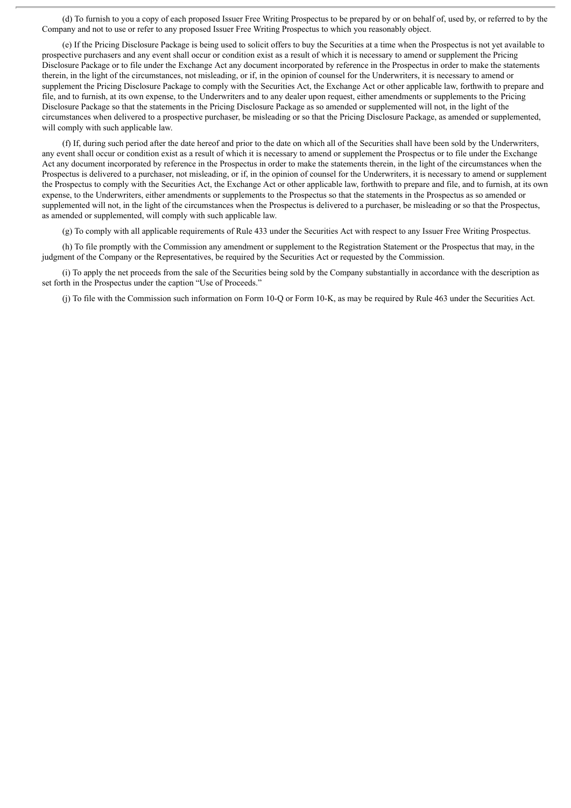(d) To furnish to you a copy of each proposed Issuer Free Writing Prospectus to be prepared by or on behalf of, used by, or referred to by the Company and not to use or refer to any proposed Issuer Free Writing Prospectus to which you reasonably object.

(e) If the Pricing Disclosure Package is being used to solicit offers to buy the Securities at a time when the Prospectus is not yet available to prospective purchasers and any event shall occur or condition exist as a result of which it is necessary to amend or supplement the Pricing Disclosure Package or to file under the Exchange Act any document incorporated by reference in the Prospectus in order to make the statements therein, in the light of the circumstances, not misleading, or if, in the opinion of counsel for the Underwriters, it is necessary to amend or supplement the Pricing Disclosure Package to comply with the Securities Act, the Exchange Act or other applicable law, forthwith to prepare and file, and to furnish, at its own expense, to the Underwriters and to any dealer upon request, either amendments or supplements to the Pricing Disclosure Package so that the statements in the Pricing Disclosure Package as so amended or supplemented will not, in the light of the circumstances when delivered to a prospective purchaser, be misleading or so that the Pricing Disclosure Package, as amended or supplemented, will comply with such applicable law.

(f) If, during such period after the date hereof and prior to the date on which all of the Securities shall have been sold by the Underwriters, any event shall occur or condition exist as a result of which it is necessary to amend or supplement the Prospectus or to file under the Exchange Act any document incorporated by reference in the Prospectus in order to make the statements therein, in the light of the circumstances when the Prospectus is delivered to a purchaser, not misleading, or if, in the opinion of counsel for the Underwriters, it is necessary to amend or supplement the Prospectus to comply with the Securities Act, the Exchange Act or other applicable law, forthwith to prepare and file, and to furnish, at its own expense, to the Underwriters, either amendments or supplements to the Prospectus so that the statements in the Prospectus as so amended or supplemented will not, in the light of the circumstances when the Prospectus is delivered to a purchaser, be misleading or so that the Prospectus, as amended or supplemented, will comply with such applicable law.

(g) To comply with all applicable requirements of Rule 433 under the Securities Act with respect to any Issuer Free Writing Prospectus.

(h) To file promptly with the Commission any amendment or supplement to the Registration Statement or the Prospectus that may, in the judgment of the Company or the Representatives, be required by the Securities Act or requested by the Commission.

(i) To apply the net proceeds from the sale of the Securities being sold by the Company substantially in accordance with the description as set forth in the Prospectus under the caption "Use of Proceeds."

(j) To file with the Commission such information on Form 10-Q or Form 10-K, as may be required by Rule 463 under the Securities Act.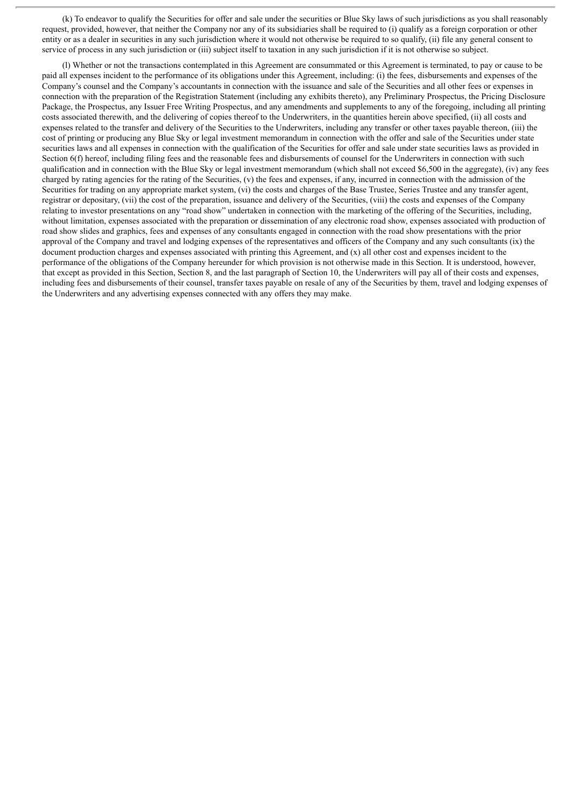(k) To endeavor to qualify the Securities for offer and sale under the securities or Blue Sky laws of such jurisdictions as you shall reasonably request, provided, however, that neither the Company nor any of its subsidiaries shall be required to (i) qualify as a foreign corporation or other entity or as a dealer in securities in any such jurisdiction where it would not otherwise be required to so qualify, (ii) file any general consent to service of process in any such jurisdiction or (iii) subject itself to taxation in any such jurisdiction if it is not otherwise so subject.

(l) Whether or not the transactions contemplated in this Agreement are consummated or this Agreement is terminated, to pay or cause to be paid all expenses incident to the performance of its obligations under this Agreement, including: (i) the fees, disbursements and expenses of the Company's counsel and the Company's accountants in connection with the issuance and sale of the Securities and all other fees or expenses in connection with the preparation of the Registration Statement (including any exhibits thereto), any Preliminary Prospectus, the Pricing Disclosure Package, the Prospectus, any Issuer Free Writing Prospectus, and any amendments and supplements to any of the foregoing, including all printing costs associated therewith, and the delivering of copies thereof to the Underwriters, in the quantities herein above specified, (ii) all costs and expenses related to the transfer and delivery of the Securities to the Underwriters, including any transfer or other taxes payable thereon, (iii) the cost of printing or producing any Blue Sky or legal investment memorandum in connection with the offer and sale of the Securities under state securities laws and all expenses in connection with the qualification of the Securities for offer and sale under state securities laws as provided in Section 6(f) hereof, including filing fees and the reasonable fees and disbursements of counsel for the Underwriters in connection with such qualification and in connection with the Blue Sky or legal investment memorandum (which shall not exceed \$6,500 in the aggregate), (iv) any fees charged by rating agencies for the rating of the Securities, (v) the fees and expenses, if any, incurred in connection with the admission of the Securities for trading on any appropriate market system, (vi) the costs and charges of the Base Trustee, Series Trustee and any transfer agent, registrar or depositary, (vii) the cost of the preparation, issuance and delivery of the Securities, (viii) the costs and expenses of the Company relating to investor presentations on any "road show" undertaken in connection with the marketing of the offering of the Securities, including, without limitation, expenses associated with the preparation or dissemination of any electronic road show, expenses associated with production of road show slides and graphics, fees and expenses of any consultants engaged in connection with the road show presentations with the prior approval of the Company and travel and lodging expenses of the representatives and officers of the Company and any such consultants (ix) the document production charges and expenses associated with printing this Agreement, and (x) all other cost and expenses incident to the performance of the obligations of the Company hereunder for which provision is not otherwise made in this Section. It is understood, however, that except as provided in this Section, Section 8, and the last paragraph of Section 10, the Underwriters will pay all of their costs and expenses, including fees and disbursements of their counsel, transfer taxes payable on resale of any of the Securities by them, travel and lodging expenses of the Underwriters and any advertising expenses connected with any offers they may make.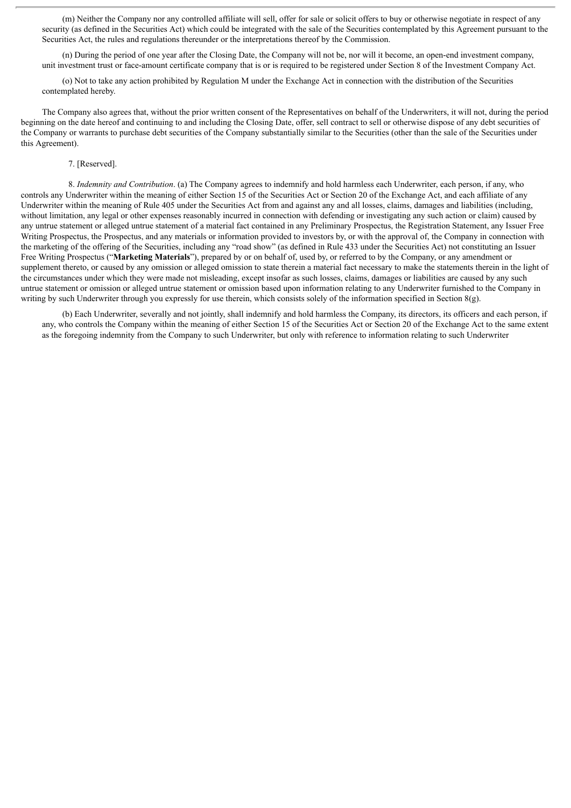(m) Neither the Company nor any controlled affiliate will sell, offer for sale or solicit offers to buy or otherwise negotiate in respect of any security (as defined in the Securities Act) which could be integrated with the sale of the Securities contemplated by this Agreement pursuant to the Securities Act, the rules and regulations thereunder or the interpretations thereof by the Commission.

(n) During the period of one year after the Closing Date, the Company will not be, nor will it become, an open-end investment company, unit investment trust or face-amount certificate company that is or is required to be registered under Section 8 of the Investment Company Act.

(o) Not to take any action prohibited by Regulation M under the Exchange Act in connection with the distribution of the Securities contemplated hereby.

The Company also agrees that, without the prior written consent of the Representatives on behalf of the Underwriters, it will not, during the period beginning on the date hereof and continuing to and including the Closing Date, offer, sell contract to sell or otherwise dispose of any debt securities of the Company or warrants to purchase debt securities of the Company substantially similar to the Securities (other than the sale of the Securities under this Agreement).

#### 7. [Reserved].

8. *Indemnity and Contribution*. (a) The Company agrees to indemnify and hold harmless each Underwriter, each person, if any, who controls any Underwriter within the meaning of either Section 15 of the Securities Act or Section 20 of the Exchange Act, and each affiliate of any Underwriter within the meaning of Rule 405 under the Securities Act from and against any and all losses, claims, damages and liabilities (including, without limitation, any legal or other expenses reasonably incurred in connection with defending or investigating any such action or claim) caused by any untrue statement or alleged untrue statement of a material fact contained in any Preliminary Prospectus, the Registration Statement, any Issuer Free Writing Prospectus, the Prospectus, and any materials or information provided to investors by, or with the approval of, the Company in connection with the marketing of the offering of the Securities, including any "road show" (as defined in Rule 433 under the Securities Act) not constituting an Issuer Free Writing Prospectus ("**Marketing Materials**"), prepared by or on behalf of, used by, or referred to by the Company, or any amendment or supplement thereto, or caused by any omission or alleged omission to state therein a material fact necessary to make the statements therein in the light of the circumstances under which they were made not misleading, except insofar as such losses, claims, damages or liabilities are caused by any such untrue statement or omission or alleged untrue statement or omission based upon information relating to any Underwriter furnished to the Company in writing by such Underwriter through you expressly for use therein, which consists solely of the information specified in Section 8(g).

(b) Each Underwriter, severally and not jointly, shall indemnify and hold harmless the Company, its directors, its officers and each person, if any, who controls the Company within the meaning of either Section 15 of the Securities Act or Section 20 of the Exchange Act to the same extent as the foregoing indemnity from the Company to such Underwriter, but only with reference to information relating to such Underwriter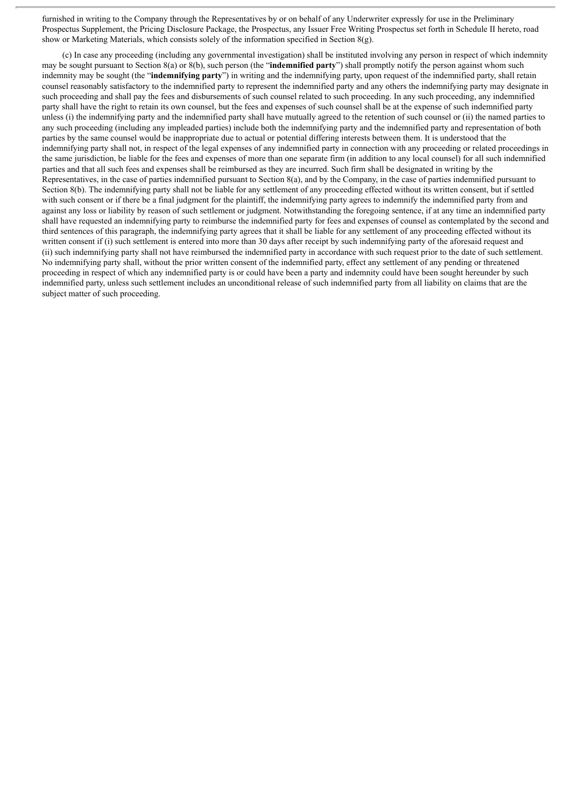furnished in writing to the Company through the Representatives by or on behalf of any Underwriter expressly for use in the Preliminary Prospectus Supplement, the Pricing Disclosure Package, the Prospectus, any Issuer Free Writing Prospectus set forth in Schedule II hereto, road show or Marketing Materials, which consists solely of the information specified in Section 8(g).

(c) In case any proceeding (including any governmental investigation) shall be instituted involving any person in respect of which indemnity may be sought pursuant to Section 8(a) or 8(b), such person (the "**indemnified party**") shall promptly notify the person against whom such indemnity may be sought (the "**indemnifying party**") in writing and the indemnifying party, upon request of the indemnified party, shall retain counsel reasonably satisfactory to the indemnified party to represent the indemnified party and any others the indemnifying party may designate in such proceeding and shall pay the fees and disbursements of such counsel related to such proceeding. In any such proceeding, any indemnified party shall have the right to retain its own counsel, but the fees and expenses of such counsel shall be at the expense of such indemnified party unless (i) the indemnifying party and the indemnified party shall have mutually agreed to the retention of such counsel or (ii) the named parties to any such proceeding (including any impleaded parties) include both the indemnifying party and the indemnified party and representation of both parties by the same counsel would be inappropriate due to actual or potential differing interests between them. It is understood that the indemnifying party shall not, in respect of the legal expenses of any indemnified party in connection with any proceeding or related proceedings in the same jurisdiction, be liable for the fees and expenses of more than one separate firm (in addition to any local counsel) for all such indemnified parties and that all such fees and expenses shall be reimbursed as they are incurred. Such firm shall be designated in writing by the Representatives, in the case of parties indemnified pursuant to Section 8(a), and by the Company, in the case of parties indemnified pursuant to Section 8(b). The indemnifying party shall not be liable for any settlement of any proceeding effected without its written consent, but if settled with such consent or if there be a final judgment for the plaintiff, the indemnifying party agrees to indemnify the indemnified party from and against any loss or liability by reason of such settlement or judgment. Notwithstanding the foregoing sentence, if at any time an indemnified party shall have requested an indemnifying party to reimburse the indemnified party for fees and expenses of counsel as contemplated by the second and third sentences of this paragraph, the indemnifying party agrees that it shall be liable for any settlement of any proceeding effected without its written consent if (i) such settlement is entered into more than 30 days after receipt by such indemnifying party of the aforesaid request and (ii) such indemnifying party shall not have reimbursed the indemnified party in accordance with such request prior to the date of such settlement. No indemnifying party shall, without the prior written consent of the indemnified party, effect any settlement of any pending or threatened proceeding in respect of which any indemnified party is or could have been a party and indemnity could have been sought hereunder by such indemnified party, unless such settlement includes an unconditional release of such indemnified party from all liability on claims that are the subject matter of such proceeding.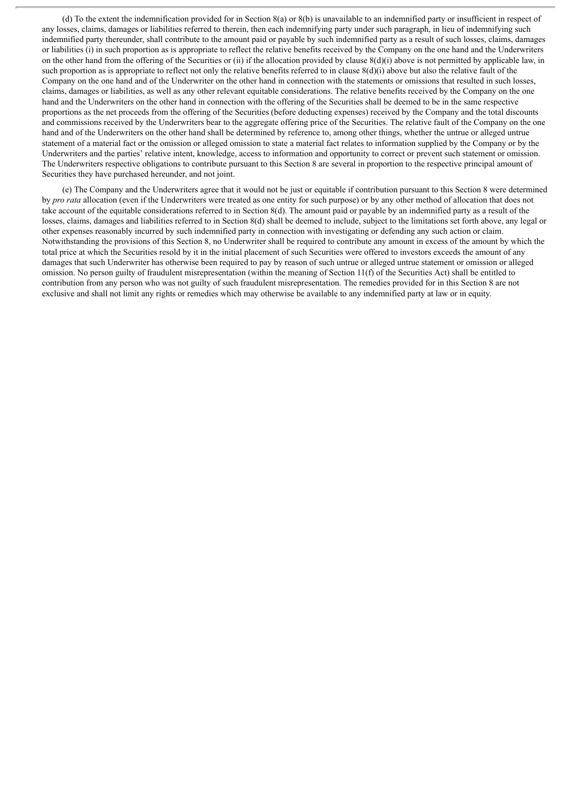(d) To the extent the indemnification provided for in Section 8(a) or 8(b) is unavailable to an indemnified party or insufficient in respect of any losses, claims, damages or liabilities referred to therein, then each indemnifying party under such paragraph, in lieu of indemnifying such indemnified party thereunder, shall contribute to the amount paid or payable by such indemnified party as a result of such losses, claims, damages or liabilities (i) in such proportion as is appropriate to reflect the relative benefits received by the Company on the one hand and the Underwriters on the other hand from the offering of the Securities or (ii) if the allocation provided by clause  $8(d)(i)$  above is not permitted by applicable law, in such proportion as is appropriate to reflect not only the relative benefits referred to in clause  $8(d)(i)$  above but also the relative fault of the Company on the one hand and of the Underwriter on the other hand in connection with the statements or omissions that resulted in such losses, claims, damages or liabilities, as well as any other relevant equitable considerations. The relative benefits received by the Company on the one hand and the Underwriters on the other hand in connection with the offering of the Securities shall be deemed to be in the same respective proportions as the net proceeds from the offering of the Securities (before deducting expenses) received by the Company and the total discounts and commissions received by the Underwriters bear to the aggregate offering price of the Securities. The relative fault of the Company on the one hand and of the Underwriters on the other hand shall be determined by reference to, among other things, whether the untrue or alleged untrue statement of a material fact or the omission or alleged omission to state a material fact relates to information supplied by the Company or by the Underwriters and the parties' relative intent, knowledge, access to information and opportunity to correct or prevent such statement or omission. The Underwriters respective obligations to contribute pursuant to this Section 8 are several in proportion to the respective principal amount of Securities they have purchased hereunder, and not joint.

(e) The Company and the Underwriters agree that it would not be just or equitable if contribution pursuant to this Section 8 were determined by *pro* rata allocation (even if the Underwriters were treated as one entity for such purpose) or by any other method of allocation that does not take account of the equitable considerations referred to in Section 8(d). The amount paid or payable by an indemnified party as a result of the losses, claims, damages and liabilities referred to in Section 8(d) shall be deemed to include, subject to the limitations set forth above, any legal or other expenses reasonably incurred by such indemnified party in connection with investigating or defending any such action or claim. Notwithstanding the provisions of this Section 8, no Underwriter shall be required to contribute any amount in excess of the amount by which the total price at which the Securities resold by it in the initial placement of such Securities were offered to investors exceeds the amount of any damages that such Underwriter has otherwise been required to pay by reason of such untrue or alleged untrue statement or omission or alleged omission. No person guilty of fraudulent misrepresentation (within the meaning of Section 11(f) of the Securities Act) shall be entitled to contribution from any person who was not guilty of such fraudulent misrepresentation. The remedies provided for in this Section 8 are not exclusive and shall not limit any rights or remedies which may otherwise be available to any indemnified party at law or in equity.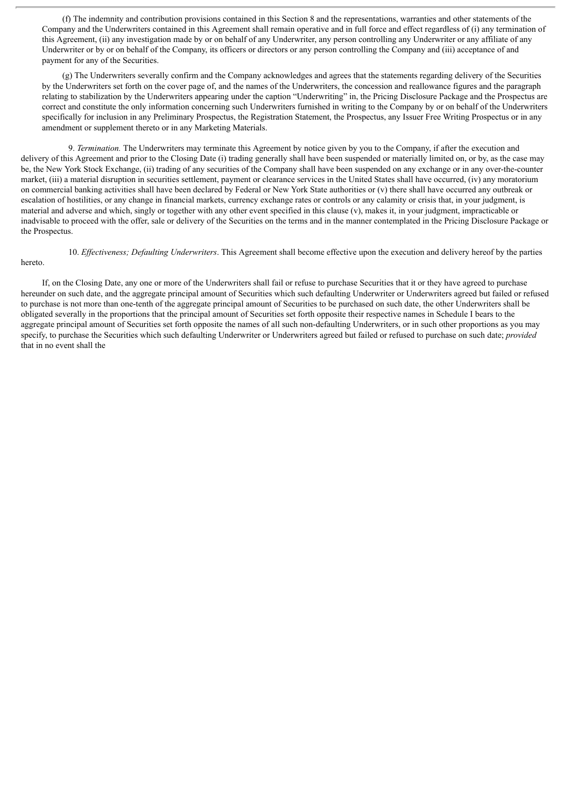(f) The indemnity and contribution provisions contained in this Section 8 and the representations, warranties and other statements of the Company and the Underwriters contained in this Agreement shall remain operative and in full force and effect regardless of (i) any termination of this Agreement, (ii) any investigation made by or on behalf of any Underwriter, any person controlling any Underwriter or any affiliate of any Underwriter or by or on behalf of the Company, its officers or directors or any person controlling the Company and (iii) acceptance of and payment for any of the Securities.

(g) The Underwriters severally confirm and the Company acknowledges and agrees that the statements regarding delivery of the Securities by the Underwriters set forth on the cover page of, and the names of the Underwriters, the concession and reallowance figures and the paragraph relating to stabilization by the Underwriters appearing under the caption "Underwriting" in, the Pricing Disclosure Package and the Prospectus are correct and constitute the only information concerning such Underwriters furnished in writing to the Company by or on behalf of the Underwriters specifically for inclusion in any Preliminary Prospectus, the Registration Statement, the Prospectus, any Issuer Free Writing Prospectus or in any amendment or supplement thereto or in any Marketing Materials.

9. *Termination.* The Underwriters may terminate this Agreement by notice given by you to the Company, if after the execution and delivery of this Agreement and prior to the Closing Date (i) trading generally shall have been suspended or materially limited on, or by, as the case may be, the New York Stock Exchange, (ii) trading of any securities of the Company shall have been suspended on any exchange or in any over-the-counter market, (iii) a material disruption in securities settlement, payment or clearance services in the United States shall have occurred, (iv) any moratorium on commercial banking activities shall have been declared by Federal or New York State authorities or (v) there shall have occurred any outbreak or escalation of hostilities, or any change in financial markets, currency exchange rates or controls or any calamity or crisis that, in your judgment, is material and adverse and which, singly or together with any other event specified in this clause (v), makes it, in your judgment, impracticable or inadvisable to proceed with the offer, sale or delivery of the Securities on the terms and in the manner contemplated in the Pricing Disclosure Package or the Prospectus.

#### hereto.

10. *Ef ectiveness; Defaulting Underwriters*. This Agreement shall become effective upon the execution and delivery hereof by the parties

If, on the Closing Date, any one or more of the Underwriters shall fail or refuse to purchase Securities that it or they have agreed to purchase hereunder on such date, and the aggregate principal amount of Securities which such defaulting Underwriter or Underwriters agreed but failed or refused to purchase is not more than one-tenth of the aggregate principal amount of Securities to be purchased on such date, the other Underwriters shall be obligated severally in the proportions that the principal amount of Securities set forth opposite their respective names in Schedule I bears to the aggregate principal amount of Securities set forth opposite the names of all such non-defaulting Underwriters, or in such other proportions as you may specify, to purchase the Securities which such defaulting Underwriter or Underwriters agreed but failed or refused to purchase on such date; *provided* that in no event shall the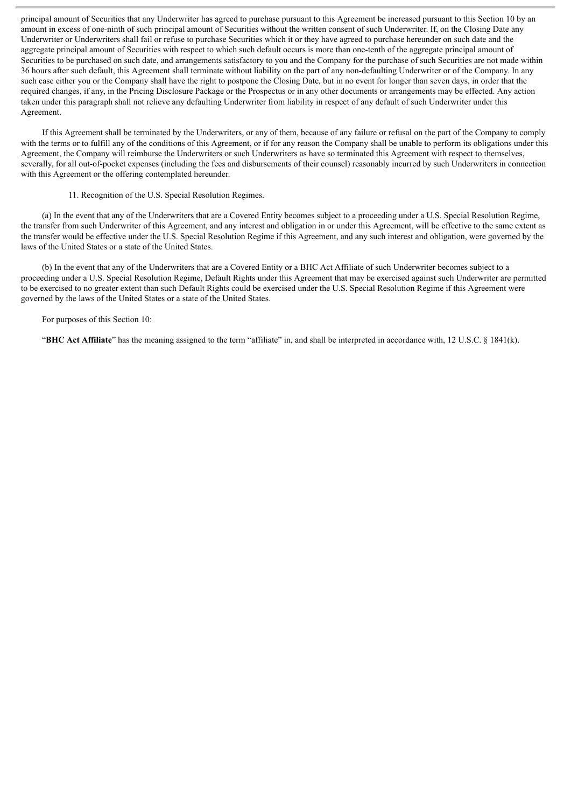principal amount of Securities that any Underwriter has agreed to purchase pursuant to this Agreement be increased pursuant to this Section 10 by an amount in excess of one-ninth of such principal amount of Securities without the written consent of such Underwriter. If, on the Closing Date any Underwriter or Underwriters shall fail or refuse to purchase Securities which it or they have agreed to purchase hereunder on such date and the aggregate principal amount of Securities with respect to which such default occurs is more than one-tenth of the aggregate principal amount of Securities to be purchased on such date, and arrangements satisfactory to you and the Company for the purchase of such Securities are not made within 36 hours after such default, this Agreement shall terminate without liability on the part of any non-defaulting Underwriter or of the Company. In any such case either you or the Company shall have the right to postpone the Closing Date, but in no event for longer than seven days, in order that the required changes, if any, in the Pricing Disclosure Package or the Prospectus or in any other documents or arrangements may be effected. Any action taken under this paragraph shall not relieve any defaulting Underwriter from liability in respect of any default of such Underwriter under this Agreement.

If this Agreement shall be terminated by the Underwriters, or any of them, because of any failure or refusal on the part of the Company to comply with the terms or to fulfill any of the conditions of this Agreement, or if for any reason the Company shall be unable to perform its obligations under this Agreement, the Company will reimburse the Underwriters or such Underwriters as have so terminated this Agreement with respect to themselves, severally, for all out-of-pocket expenses (including the fees and disbursements of their counsel) reasonably incurred by such Underwriters in connection with this Agreement or the offering contemplated hereunder.

11. Recognition of the U.S. Special Resolution Regimes.

(a) In the event that any of the Underwriters that are a Covered Entity becomes subject to a proceeding under a U.S. Special Resolution Regime, the transfer from such Underwriter of this Agreement, and any interest and obligation in or under this Agreement, will be effective to the same extent as the transfer would be effective under the U.S. Special Resolution Regime if this Agreement, and any such interest and obligation, were governed by the laws of the United States or a state of the United States.

(b) In the event that any of the Underwriters that are a Covered Entity or a BHC Act Affiliate of such Underwriter becomes subject to a proceeding under a U.S. Special Resolution Regime, Default Rights under this Agreement that may be exercised against such Underwriter are permitted to be exercised to no greater extent than such Default Rights could be exercised under the U.S. Special Resolution Regime if this Agreement were governed by the laws of the United States or a state of the United States.

For purposes of this Section 10:

"**BHC Act Affiliate**" has the meaning assigned to the term "affiliate" in, and shall be interpreted in accordance with, 12 U.S.C. § 1841(k).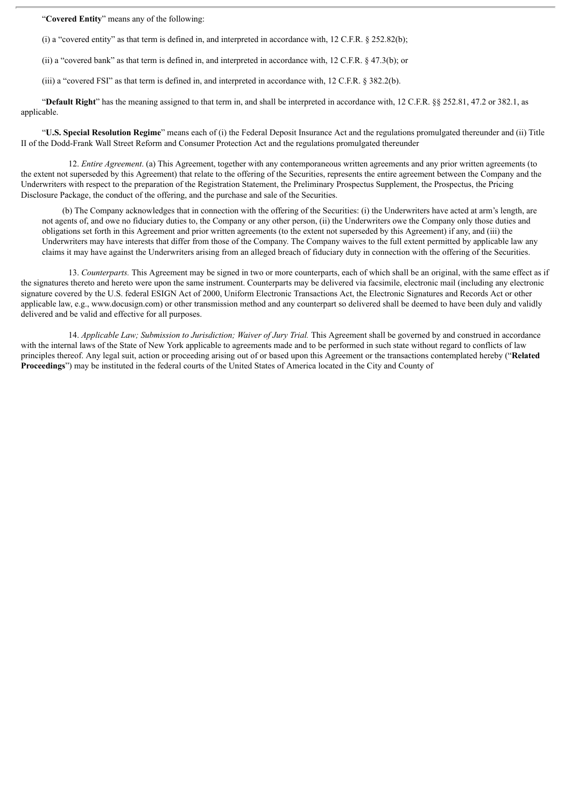"**Covered Entity**" means any of the following:

(i) a "covered entity" as that term is defined in, and interpreted in accordance with, 12 C.F.R. § 252.82(b);

(ii) a "covered bank" as that term is defined in, and interpreted in accordance with, 12 C.F.R. § 47.3(b); or

(iii) a "covered FSI" as that term is defined in, and interpreted in accordance with, 12 C.F.R. § 382.2(b).

"**Default Right**" has the meaning assigned to that term in, and shall be interpreted in accordance with, 12 C.F.R. §§ 252.81, 47.2 or 382.1, as applicable.

"**U.S. Special Resolution Regime**" means each of (i) the Federal Deposit Insurance Act and the regulations promulgated thereunder and (ii) Title II of the Dodd-Frank Wall Street Reform and Consumer Protection Act and the regulations promulgated thereunder

12. *Entire Agreement*. (a) This Agreement, together with any contemporaneous written agreements and any prior written agreements (to the extent not superseded by this Agreement) that relate to the offering of the Securities, represents the entire agreement between the Company and the Underwriters with respect to the preparation of the Registration Statement, the Preliminary Prospectus Supplement, the Prospectus, the Pricing Disclosure Package, the conduct of the offering, and the purchase and sale of the Securities.

(b) The Company acknowledges that in connection with the offering of the Securities: (i) the Underwriters have acted at arm's length, are not agents of, and owe no fiduciary duties to, the Company or any other person, (ii) the Underwriters owe the Company only those duties and obligations set forth in this Agreement and prior written agreements (to the extent not superseded by this Agreement) if any, and (iii) the Underwriters may have interests that differ from those of the Company. The Company waives to the full extent permitted by applicable law any claims it may have against the Underwriters arising from an alleged breach of fiduciary duty in connection with the offering of the Securities.

13. *Counterparts.* This Agreement may be signed in two or more counterparts, each of which shall be an original, with the same effect as if the signatures thereto and hereto were upon the same instrument. Counterparts may be delivered via facsimile, electronic mail (including any electronic signature covered by the U.S. federal ESIGN Act of 2000, Uniform Electronic Transactions Act, the Electronic Signatures and Records Act or other applicable law, e.g., www.docusign.com) or other transmission method and any counterpart so delivered shall be deemed to have been duly and validly delivered and be valid and effective for all purposes.

14. *Applicable Law; Submission to Jurisdiction; Waiver of Jury Trial.* This Agreement shall be governed by and construed in accordance with the internal laws of the State of New York applicable to agreements made and to be performed in such state without regard to conflicts of law principles thereof. Any legal suit, action or proceeding arising out of or based upon this Agreement or the transactions contemplated hereby ("**Related Proceedings**") may be instituted in the federal courts of the United States of America located in the City and County of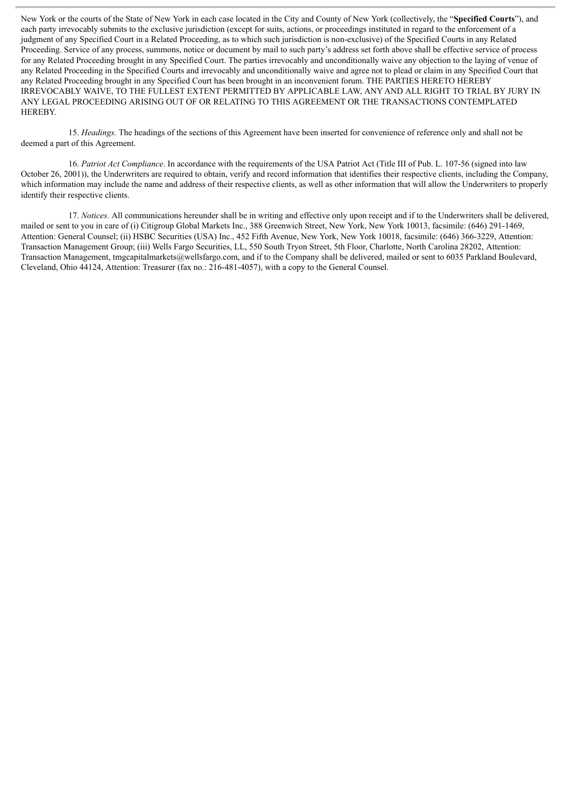New York or the courts of the State of New York in each case located in the City and County of New York (collectively, the "**Specified Courts**"), and each party irrevocably submits to the exclusive jurisdiction (except for suits, actions, or proceedings instituted in regard to the enforcement of a judgment of any Specified Court in a Related Proceeding, as to which such jurisdiction is non-exclusive) of the Specified Courts in any Related Proceeding. Service of any process, summons, notice or document by mail to such party's address set forth above shall be effective service of process for any Related Proceeding brought in any Specified Court. The parties irrevocably and unconditionally waive any objection to the laying of venue of any Related Proceeding in the Specified Courts and irrevocably and unconditionally waive and agree not to plead or claim in any Specified Court that any Related Proceeding brought in any Specified Court has been brought in an inconvenient forum. THE PARTIES HERETO HEREBY IRREVOCABLY WAIVE, TO THE FULLEST EXTENT PERMITTED BY APPLICABLE LAW, ANY AND ALL RIGHT TO TRIAL BY JURY IN ANY LEGAL PROCEEDING ARISING OUT OF OR RELATING TO THIS AGREEMENT OR THE TRANSACTIONS CONTEMPLATED HEREBY.

15. *Headings.* The headings of the sections of this Agreement have been inserted for convenience of reference only and shall not be deemed a part of this Agreement.

16. *Patriot Act Compliance*. In accordance with the requirements of the USA Patriot Act (Title III of Pub. L. 107-56 (signed into law October 26, 2001)), the Underwriters are required to obtain, verify and record information that identifies their respective clients, including the Company, which information may include the name and address of their respective clients, as well as other information that will allow the Underwriters to properly identify their respective clients.

17. *Notices.* All communications hereunder shall be in writing and effective only upon receipt and if to the Underwriters shall be delivered, mailed or sent to you in care of (i) Citigroup Global Markets Inc., 388 Greenwich Street, New York, New York 10013, facsimile: (646) 291-1469, Attention: General Counsel; (ii) HSBC Securities (USA) Inc., 452 Fifth Avenue, New York, New York 10018, facsimile: (646) 366-3229, Attention: Transaction Management Group; (iii) Wells Fargo Securities, LL, 550 South Tryon Street, 5th Floor, Charlotte, North Carolina 28202, Attention: Transaction Management, tmgcapitalmarkets@wellsfargo.com, and if to the Company shall be delivered, mailed or sent to 6035 Parkland Boulevard, Cleveland, Ohio 44124, Attention: Treasurer (fax no.: 216-481-4057), with a copy to the General Counsel.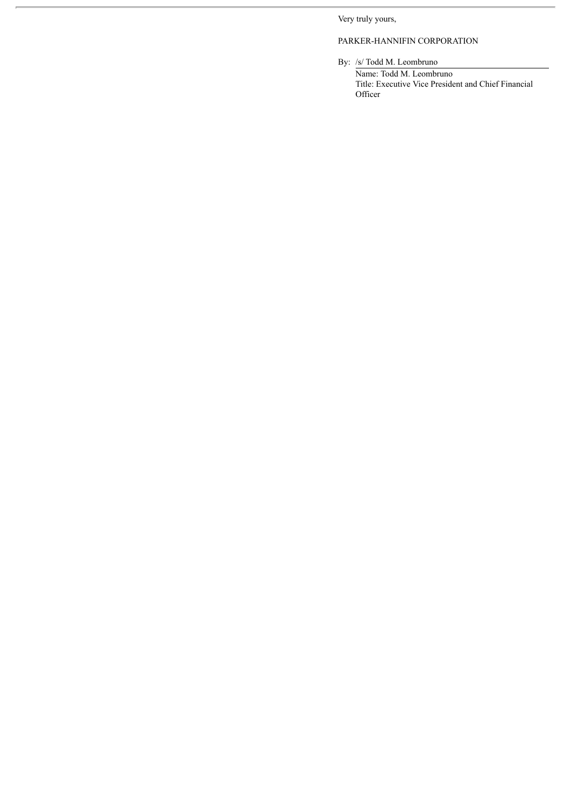Very truly yours,

# PARKER-HANNIFIN CORPORATION

By: /s/ Todd M. Leombruno

Name: Todd M. Leombruno Title: Executive Vice President and Chief Financial **Officer**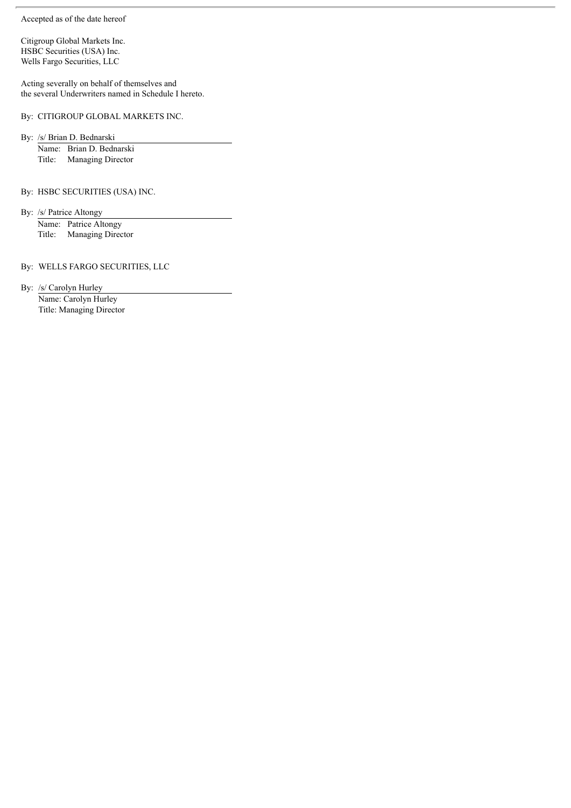Accepted as of the date hereof

Citigroup Global Markets Inc. HSBC Securities (USA) Inc. Wells Fargo Securities, LLC

Acting severally on behalf of themselves and the several Underwriters named in Schedule I hereto.

By: CITIGROUP GLOBAL MARKETS INC.

By: /s/ Brian D. Bednarski

Name: Brian D. Bednarski Title: Managing Director

By: HSBC SECURITIES (USA) INC.

By: /s/ Patrice Altongy Name: Patrice Altongy

Title: Managing Director

By: WELLS FARGO SECURITIES, LLC

By: /s/ Carolyn Hurley Name: Carolyn Hurley Title: Managing Director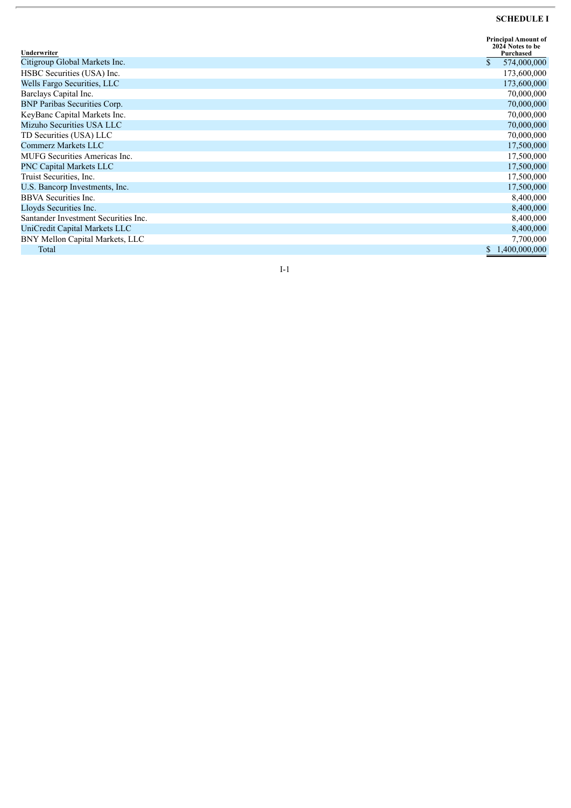#### **SCHEDULE I**

| Underwriter                          | <b>Principal Amount of</b><br>2024 Notes to be<br>Purchased |
|--------------------------------------|-------------------------------------------------------------|
| Citigroup Global Markets Inc.        | \$<br>574,000,000                                           |
| HSBC Securities (USA) Inc.           | 173,600,000                                                 |
| Wells Fargo Securities, LLC          | 173,600,000                                                 |
| Barclays Capital Inc.                | 70,000,000                                                  |
| <b>BNP Paribas Securities Corp.</b>  | 70,000,000                                                  |
| KeyBanc Capital Markets Inc.         | 70,000,000                                                  |
| Mizuho Securities USA LLC            | 70,000,000                                                  |
| TD Securities (USA) LLC              | 70,000,000                                                  |
| Commerz Markets LLC                  | 17,500,000                                                  |
| MUFG Securities Americas Inc.        | 17,500,000                                                  |
| <b>PNC Capital Markets LLC</b>       | 17,500,000                                                  |
| Truist Securities, Inc.              | 17,500,000                                                  |
| U.S. Bancorp Investments, Inc.       | 17,500,000                                                  |
| BBVA Securities Inc.                 | 8,400,000                                                   |
| Lloyds Securities Inc.               | 8,400,000                                                   |
| Santander Investment Securities Inc. | 8,400,000                                                   |
| UniCredit Capital Markets LLC        | 8,400,000                                                   |
| BNY Mellon Capital Markets, LLC      | 7,700,000                                                   |
| Total                                | \$1,400,000,000                                             |

 $I-1$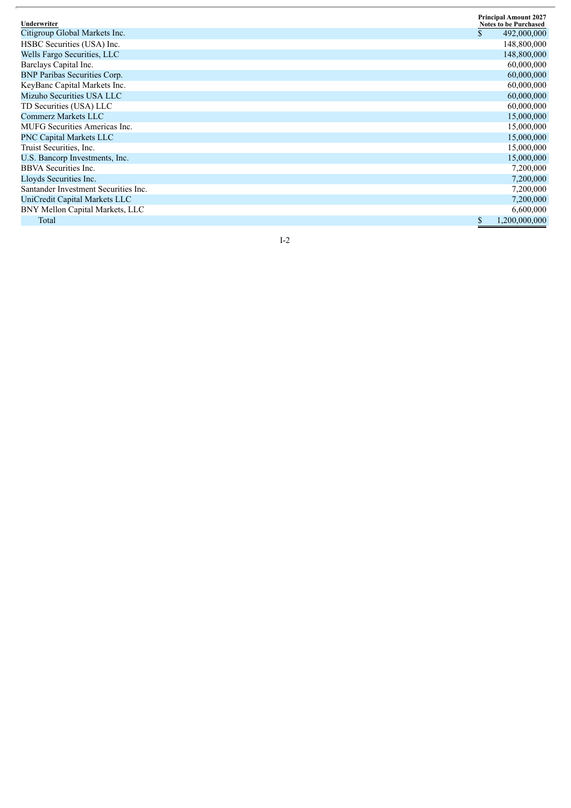| Underwriter                          |   | <b>Principal Amount 2027</b><br><b>Notes to be Purchased</b> |
|--------------------------------------|---|--------------------------------------------------------------|
| Citigroup Global Markets Inc.        |   | 492,000,000                                                  |
| HSBC Securities (USA) Inc.           |   | 148,800,000                                                  |
| Wells Fargo Securities, LLC          |   | 148,800,000                                                  |
| Barclays Capital Inc.                |   | 60,000,000                                                   |
| <b>BNP Paribas Securities Corp.</b>  |   | 60,000,000                                                   |
| KeyBanc Capital Markets Inc.         |   | 60,000,000                                                   |
| Mizuho Securities USA LLC            |   | 60,000,000                                                   |
| TD Securities (USA) LLC              |   | 60,000,000                                                   |
| Commerz Markets LLC                  |   | 15,000,000                                                   |
| <b>MUFG</b> Securities Americas Inc. |   | 15,000,000                                                   |
| <b>PNC Capital Markets LLC</b>       |   | 15,000,000                                                   |
| Truist Securities, Inc.              |   | 15,000,000                                                   |
| U.S. Bancorp Investments, Inc.       |   | 15,000,000                                                   |
| <b>BBVA</b> Securities Inc.          |   | 7,200,000                                                    |
| Lloyds Securities Inc.               |   | 7,200,000                                                    |
| Santander Investment Securities Inc. |   | 7,200,000                                                    |
| UniCredit Capital Markets LLC        |   | 7,200,000                                                    |
| BNY Mellon Capital Markets, LLC      |   | 6,600,000                                                    |
| Total                                | S | 1,200,000,000                                                |

 $I-2$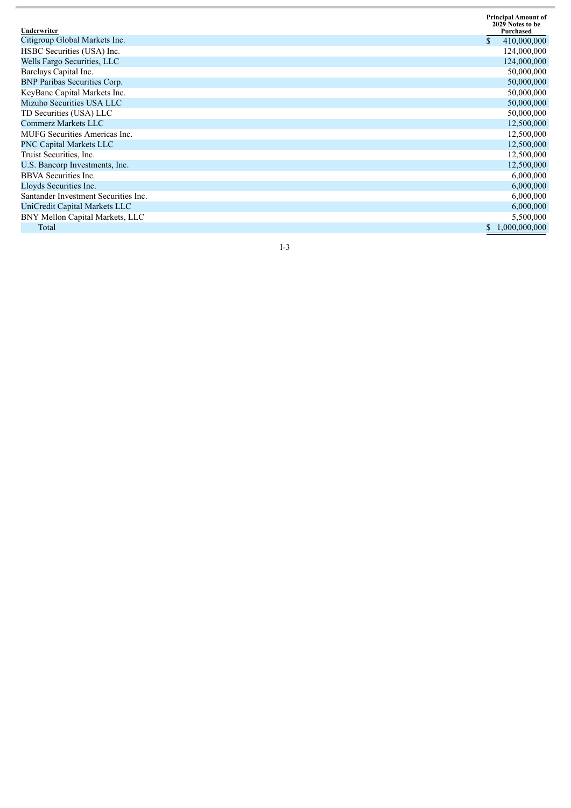| Underwriter                          | <b>Principal Amount of</b><br>2029 Notes to be<br>Purchased |
|--------------------------------------|-------------------------------------------------------------|
| Citigroup Global Markets Inc.        | $\mathbb{S}$<br>410,000,000                                 |
| HSBC Securities (USA) Inc.           | 124,000,000                                                 |
| Wells Fargo Securities, LLC          | 124,000,000                                                 |
| Barclays Capital Inc.                | 50,000,000                                                  |
| <b>BNP Paribas Securities Corp.</b>  | 50,000,000                                                  |
| KeyBanc Capital Markets Inc.         | 50,000,000                                                  |
| Mizuho Securities USA LLC            | 50,000,000                                                  |
| TD Securities (USA) LLC              | 50,000,000                                                  |
| Commerz Markets LLC                  | 12,500,000                                                  |
| <b>MUFG</b> Securities Americas Inc. | 12,500,000                                                  |
| <b>PNC Capital Markets LLC</b>       | 12,500,000                                                  |
| Truist Securities, Inc.              | 12,500,000                                                  |
| U.S. Bancorp Investments, Inc.       | 12,500,000                                                  |
| <b>BBVA</b> Securities Inc.          | 6,000,000                                                   |
| Lloyds Securities Inc.               | 6,000,000                                                   |
| Santander Investment Securities Inc. | 6,000,000                                                   |
| UniCredit Capital Markets LLC        | 6,000,000                                                   |
| BNY Mellon Capital Markets, LLC      | 5,500,000                                                   |
| Total                                | 1,000,000,000                                               |

 $I-3$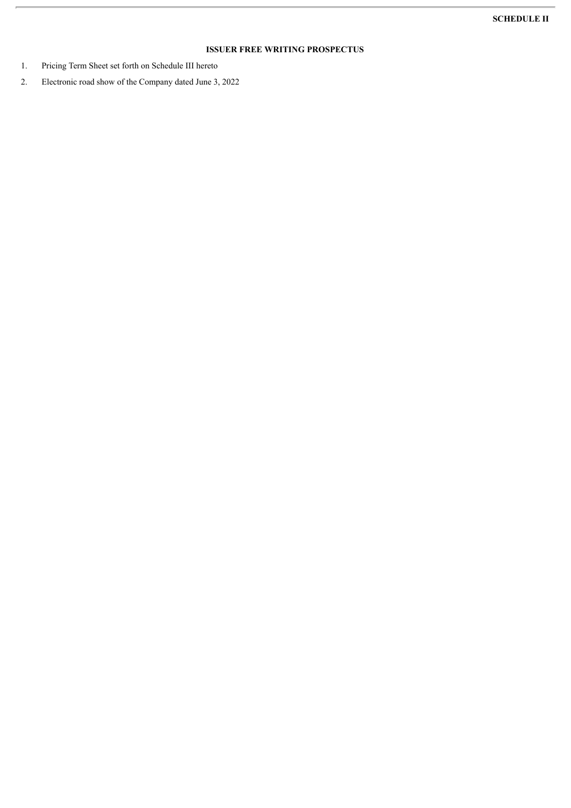# **ISSUER FREE WRITING PROSPECTUS**

- 1. Pricing Term Sheet set forth on Schedule III hereto
- 2. Electronic road show of the Company dated June 3, 2022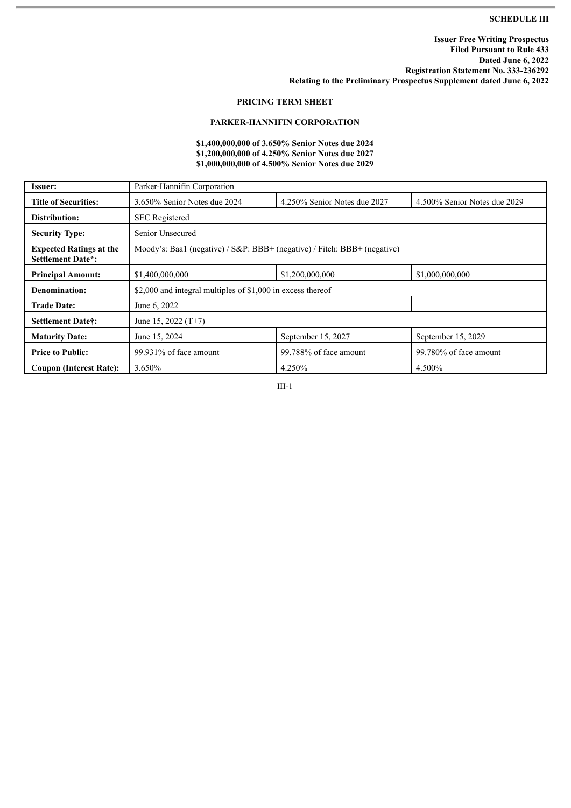## **SCHEDULE III**

# **PRICING TERM SHEET**

# **PARKER-HANNIFIN CORPORATION**

## **\$1,400,000,000 of 3.650% Senior Notes due 2024 \$1,200,000,000 of 4.250% Senior Notes due 2027 \$1,000,000,000 of 4.500% Senior Notes due 2029**

| Issuer:                                                    | Parker-Hannifin Corporation                                              |                              |                              |  |
|------------------------------------------------------------|--------------------------------------------------------------------------|------------------------------|------------------------------|--|
| <b>Title of Securities:</b>                                | 3.650% Senior Notes due 2024                                             | 4.250% Senior Notes due 2027 | 4.500% Senior Notes due 2029 |  |
| Distribution:                                              | <b>SEC</b> Registered                                                    |                              |                              |  |
| <b>Security Type:</b>                                      | Senior Unsecured                                                         |                              |                              |  |
| <b>Expected Ratings at the</b><br><b>Settlement Date*:</b> | Moody's: Baa1 (negative) / S&P: BBB+ (negative) / Fitch: BBB+ (negative) |                              |                              |  |
| <b>Principal Amount:</b>                                   | \$1,400,000,000                                                          | \$1,200,000,000              | \$1,000,000,000              |  |
| Denomination:                                              | \$2,000 and integral multiples of \$1,000 in excess thereof              |                              |                              |  |
| <b>Trade Date:</b>                                         | June 6, 2022                                                             |                              |                              |  |
| <b>Settlement Date†:</b>                                   | June 15, 2022 $(T+7)$                                                    |                              |                              |  |
| <b>Maturity Date:</b>                                      | June 15, 2024                                                            | September 15, 2027           | September 15, 2029           |  |
| <b>Price to Public:</b>                                    | 99.931% of face amount                                                   | 99.788% of face amount       | 99.780% of face amount       |  |
| <b>Coupon (Interest Rate):</b>                             | 3.650%                                                                   | 4.250%                       | 4.500%                       |  |

III-1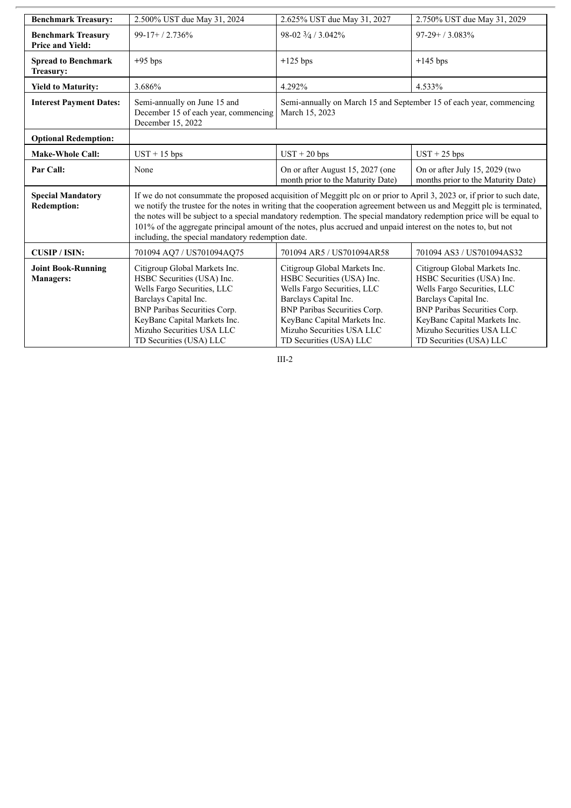| <b>Benchmark Treasury:</b>                           | 2.500% UST due May 31, 2024                                                                                                                                                                                                                                                                                                                                                                                                                                                                                                                       | 2.625% UST due May 31, 2027                                                                                                                                                                                                                        | 2.750% UST due May 31, 2029                                                                                                                                                                                                                        |
|------------------------------------------------------|---------------------------------------------------------------------------------------------------------------------------------------------------------------------------------------------------------------------------------------------------------------------------------------------------------------------------------------------------------------------------------------------------------------------------------------------------------------------------------------------------------------------------------------------------|----------------------------------------------------------------------------------------------------------------------------------------------------------------------------------------------------------------------------------------------------|----------------------------------------------------------------------------------------------------------------------------------------------------------------------------------------------------------------------------------------------------|
| <b>Benchmark Treasury</b><br><b>Price and Yield:</b> | $99-17+/2.736%$                                                                                                                                                                                                                                                                                                                                                                                                                                                                                                                                   | 98-02 3/4 / 3.042%                                                                                                                                                                                                                                 | $97-29+ / 3.083\%$                                                                                                                                                                                                                                 |
| <b>Spread to Benchmark</b><br><b>Treasury:</b>       | $+95$ bps                                                                                                                                                                                                                                                                                                                                                                                                                                                                                                                                         | $+125$ bps                                                                                                                                                                                                                                         | $+145$ bps                                                                                                                                                                                                                                         |
| <b>Yield to Maturity:</b>                            | 3.686%                                                                                                                                                                                                                                                                                                                                                                                                                                                                                                                                            | 4.292%                                                                                                                                                                                                                                             | 4.533%                                                                                                                                                                                                                                             |
| <b>Interest Payment Dates:</b>                       | Semi-annually on June 15 and<br>December 15 of each year, commencing<br>December 15, 2022                                                                                                                                                                                                                                                                                                                                                                                                                                                         | Semi-annually on March 15 and September 15 of each year, commencing<br>March 15, 2023                                                                                                                                                              |                                                                                                                                                                                                                                                    |
| <b>Optional Redemption:</b>                          |                                                                                                                                                                                                                                                                                                                                                                                                                                                                                                                                                   |                                                                                                                                                                                                                                                    |                                                                                                                                                                                                                                                    |
| <b>Make-Whole Call:</b>                              | $UST + 15$ bps                                                                                                                                                                                                                                                                                                                                                                                                                                                                                                                                    | $UST + 20 bps$                                                                                                                                                                                                                                     | $UST + 25$ bps                                                                                                                                                                                                                                     |
| Par Call:                                            | None                                                                                                                                                                                                                                                                                                                                                                                                                                                                                                                                              | On or after August 15, 2027 (one<br>month prior to the Maturity Date)                                                                                                                                                                              | On or after July 15, 2029 (two<br>months prior to the Maturity Date)                                                                                                                                                                               |
| <b>Special Mandatory</b><br><b>Redemption:</b>       | If we do not consummate the proposed acquisition of Meggitt plc on or prior to April 3, 2023 or, if prior to such date,<br>we notify the trustee for the notes in writing that the cooperation agreement between us and Meggitt plc is terminated,<br>the notes will be subject to a special mandatory redemption. The special mandatory redemption price will be equal to<br>101% of the aggregate principal amount of the notes, plus accrued and unpaid interest on the notes to, but not<br>including, the special mandatory redemption date. |                                                                                                                                                                                                                                                    |                                                                                                                                                                                                                                                    |
| <b>CUSIP/ISIN:</b>                                   | 701094 AQ7 / US701094AQ75                                                                                                                                                                                                                                                                                                                                                                                                                                                                                                                         | 701094 AR5 / US701094AR58                                                                                                                                                                                                                          | 701094 AS3 / US701094AS32                                                                                                                                                                                                                          |
| <b>Joint Book-Running</b><br><b>Managers:</b>        | Citigroup Global Markets Inc.<br>HSBC Securities (USA) Inc.<br>Wells Fargo Securities, LLC<br>Barclays Capital Inc.<br><b>BNP Paribas Securities Corp.</b><br>KeyBanc Capital Markets Inc.<br>Mizuho Securities USA LLC<br>TD Securities (USA) LLC                                                                                                                                                                                                                                                                                                | Citigroup Global Markets Inc.<br>HSBC Securities (USA) Inc.<br>Wells Fargo Securities, LLC<br>Barclays Capital Inc.<br><b>BNP</b> Paribas Securities Corp.<br>KeyBanc Capital Markets Inc.<br>Mizuho Securities USA LLC<br>TD Securities (USA) LLC | Citigroup Global Markets Inc.<br>HSBC Securities (USA) Inc.<br>Wells Fargo Securities, LLC<br>Barclays Capital Inc.<br><b>BNP Paribas Securities Corp.</b><br>KeyBanc Capital Markets Inc.<br>Mizuho Securities USA LLC<br>TD Securities (USA) LLC |

III-2